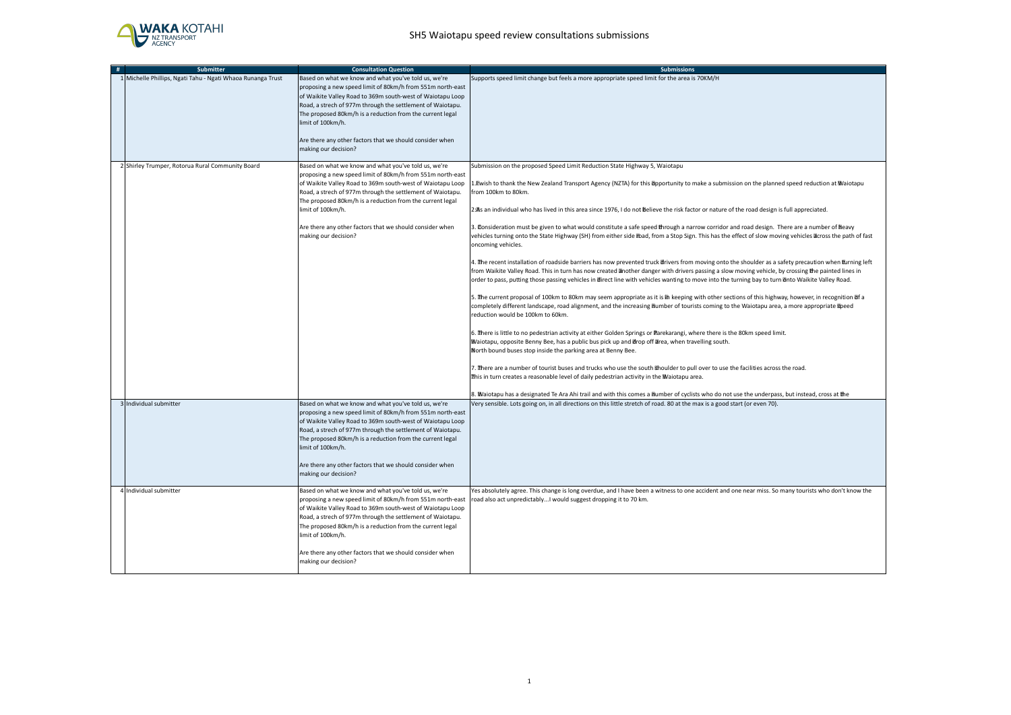

| # | <b>Submitter</b>                                            | <b>Consultation Question</b>                                                                                                                                                                                                                                                                                                                                                                                         | <b>Submissions</b>                                                                                                                                                                                                                                                                                                                                                                                                                                                |
|---|-------------------------------------------------------------|----------------------------------------------------------------------------------------------------------------------------------------------------------------------------------------------------------------------------------------------------------------------------------------------------------------------------------------------------------------------------------------------------------------------|-------------------------------------------------------------------------------------------------------------------------------------------------------------------------------------------------------------------------------------------------------------------------------------------------------------------------------------------------------------------------------------------------------------------------------------------------------------------|
|   | 1 Michelle Phillips, Ngati Tahu - Ngati Whaoa Runanga Trust | Based on what we know and what you've told us, we're<br>proposing a new speed limit of 80km/h from 551m north-east<br>of Waikite Valley Road to 369m south-west of Waiotapu Loop<br>Road, a strech of 977m through the settlement of Waiotapu.<br>The proposed 80km/h is a reduction from the current legal<br>limit of 100km/h.<br>Are there any other factors that we should consider when<br>making our decision? | Supports speed limit change but feels a more appropriate speed limit for the area is 70KM/H                                                                                                                                                                                                                                                                                                                                                                       |
|   | 2 Shirley Trumper, Rotorua Rural Community Board            | Based on what we know and what you've told us, we're                                                                                                                                                                                                                                                                                                                                                                 | Submission on the proposed Speed Limit Reduction State Highway 5, Waiotapu                                                                                                                                                                                                                                                                                                                                                                                        |
|   |                                                             | proposing a new speed limit of 80km/h from 551m north-east<br>of Waikite Valley Road to 369m south-west of Waiotapu Loop<br>Road, a strech of 977m through the settlement of Waiotapu.<br>The proposed 80km/h is a reduction from the current legal<br>limit of 100km/h.                                                                                                                                             | 1. Ewish to thank the New Zealand Transport Agency (NZTA) for this Opportunity to make a submission on the planned speed reduction at Waiotapu<br>from 100km to 80km.<br>2:As an individual who has lived in this area since 1976, I do not Believe the risk factor or nature of the road design is full appreciated.                                                                                                                                             |
|   |                                                             |                                                                                                                                                                                                                                                                                                                                                                                                                      |                                                                                                                                                                                                                                                                                                                                                                                                                                                                   |
|   |                                                             | Are there any other factors that we should consider when<br>making our decision?                                                                                                                                                                                                                                                                                                                                     | 3. Consideration must be given to what would constitute a safe speed through a narrow corridor and road design. There are a number of heavy<br>vehicles turning onto the State Highway (SH) from either side Ebad, from a Stop Sign. This has the effect of slow moving vehicles Ecross the path of fast<br>oncoming vehicles.                                                                                                                                    |
|   |                                                             |                                                                                                                                                                                                                                                                                                                                                                                                                      | 4. The recent installation of roadside barriers has now prevented truck drivers from moving onto the shoulder as a safety precaution when turning left<br>from Waikite Valley Road. This in turn has now created another danger with drivers passing a slow moving vehicle, by crossing the painted lines in<br>order to pass, putting those passing vehicles in direct line with vehicles wanting to move into the turning bay to turn onto Waikite Valley Road. |
|   |                                                             |                                                                                                                                                                                                                                                                                                                                                                                                                      | 5. The current proposal of 100km to 80km may seem appropriate as it is Th keeping with other sections of this highway, however, in recognition of a<br>completely different landscape, road alignment, and the increasing humber of tourists coming to the Waiotapu area, a more appropriate speed<br>reduction would be 100km to 60km.                                                                                                                           |
|   |                                                             |                                                                                                                                                                                                                                                                                                                                                                                                                      | 6. There is little to no pedestrian activity at either Golden Springs or Parekarangi, where there is the 80km speed limit.<br>Waiotapu, opposite Benny Bee, has a public bus pick up and Urop off Urea, when travelling south.<br>North bound buses stop inside the parking area at Benny Bee.                                                                                                                                                                    |
|   |                                                             |                                                                                                                                                                                                                                                                                                                                                                                                                      | 7. There are a number of tourist buses and trucks who use the south Bhoulder to pull over to use the facilities across the road.<br>This in turn creates a reasonable level of daily pedestrian activity in the Maiotapu area.                                                                                                                                                                                                                                    |
|   |                                                             |                                                                                                                                                                                                                                                                                                                                                                                                                      | 3. Waiotapu has a designated Te Ara Ahi trail and with this comes a Bumber of cyclists who do not use the underpass, but instead, cross at the                                                                                                                                                                                                                                                                                                                    |
|   | 3 Individual submitter                                      | Based on what we know and what you've told us, we're<br>proposing a new speed limit of 80km/h from 551m north-east<br>of Waikite Valley Road to 369m south-west of Waiotapu Loop<br>Road, a strech of 977m through the settlement of Waiotapu.<br>The proposed 80km/h is a reduction from the current legal<br>limit of 100km/h.<br>Are there any other factors that we should consider when<br>making our decision? | Very sensible. Lots going on, in all directions on this little stretch of road. 80 at the max is a good start (or even 70).                                                                                                                                                                                                                                                                                                                                       |
|   | 4 Individual submitter                                      | Based on what we know and what you've told us, we're<br>proposing a new speed limit of 80km/h from 551m north-east<br>of Waikite Valley Road to 369m south-west of Waiotapu Loop<br>Road, a strech of 977m through the settlement of Waiotapu.<br>The proposed 80km/h is a reduction from the current legal<br>limit of 100km/h.<br>Are there any other factors that we should consider when<br>making our decision? | Yes absolutely agree. This change is long overdue, and I have been a witness to one accident and one near miss. So many tourists who don't know the<br>road also act unpredictably I would suggest dropping it to 70 km.                                                                                                                                                                                                                                          |
|   |                                                             |                                                                                                                                                                                                                                                                                                                                                                                                                      |                                                                                                                                                                                                                                                                                                                                                                                                                                                                   |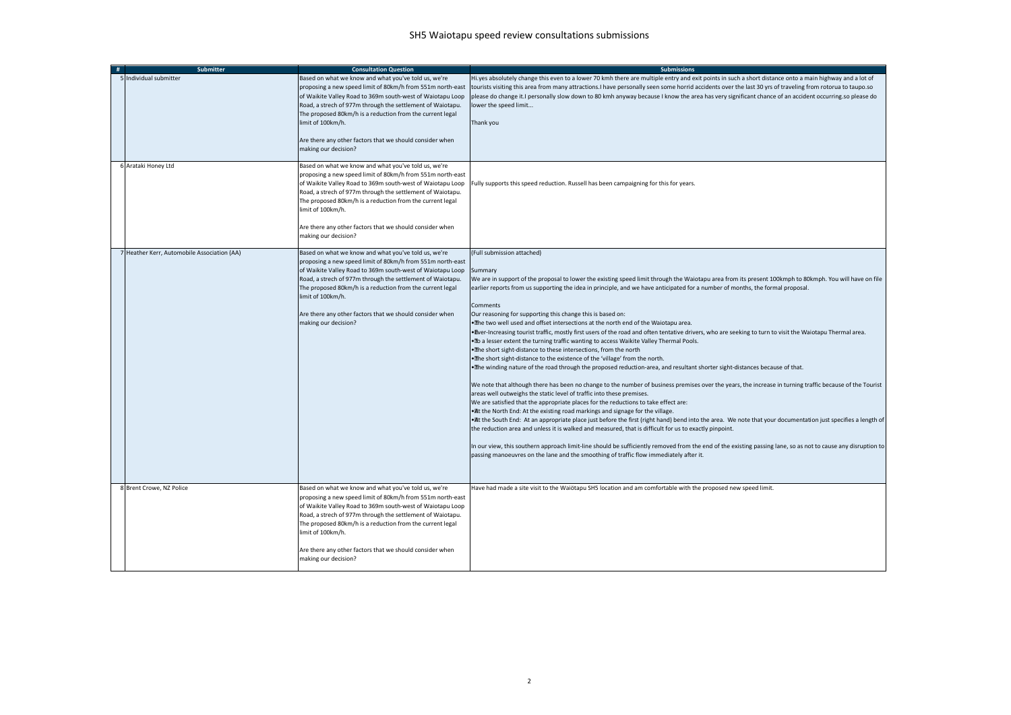| # | <b>Submitter</b>                            | <b>Consultation Question</b>                                                                                                                                                                                                                                                                                                                                                                                        | <b>Submissions</b>                                                                                                                                                                                                                                                                                                                                                                                                                                                                                                                                                                                                                                                                                                                                                                                                                                                                                                                                                                                                                                                                                                                                                                                                                                                                                                                                                                                                                                                                                                                                                                                                                                                                                                                                                                                                                                                                                                                                                                                    |
|---|---------------------------------------------|---------------------------------------------------------------------------------------------------------------------------------------------------------------------------------------------------------------------------------------------------------------------------------------------------------------------------------------------------------------------------------------------------------------------|-------------------------------------------------------------------------------------------------------------------------------------------------------------------------------------------------------------------------------------------------------------------------------------------------------------------------------------------------------------------------------------------------------------------------------------------------------------------------------------------------------------------------------------------------------------------------------------------------------------------------------------------------------------------------------------------------------------------------------------------------------------------------------------------------------------------------------------------------------------------------------------------------------------------------------------------------------------------------------------------------------------------------------------------------------------------------------------------------------------------------------------------------------------------------------------------------------------------------------------------------------------------------------------------------------------------------------------------------------------------------------------------------------------------------------------------------------------------------------------------------------------------------------------------------------------------------------------------------------------------------------------------------------------------------------------------------------------------------------------------------------------------------------------------------------------------------------------------------------------------------------------------------------------------------------------------------------------------------------------------------------|
|   | 5 Individual submitter                      | Based on what we know and what you've told us, we're<br>proposing a new speed limit of 80km/h from 551m north-east<br>of Waikite Valley Road to 369m south-west of Waiotapu Loop<br>Road, a strech of 977m through the settlement of Waiotapu.<br>The proposed 80km/h is a reduction from the current legal<br>imit of 100km/h.<br>Are there any other factors that we should consider when<br>making our decision? | Hi.yes absolutely change this even to a lower 70 kmh there are multiple entry and exit points in such a short distance onto a main highway and a lot of<br>tourists visiting this area from many attractions. I have personally seen some horrid accidents over the last 30 yrs of traveling from rotorua to taupo.so<br>please do change it.I personally slow down to 80 kmh anyway because I know the area has very significant chance of an accident occurring.so please do<br>lower the speed limit<br>Thank you                                                                                                                                                                                                                                                                                                                                                                                                                                                                                                                                                                                                                                                                                                                                                                                                                                                                                                                                                                                                                                                                                                                                                                                                                                                                                                                                                                                                                                                                                  |
|   | 6 Arataki Honey Ltd                         | Based on what we know and what you've told us, we're<br>proposing a new speed limit of 80km/h from 551m north-east<br>of Waikite Valley Road to 369m south-west of Waiotapu Loop<br>Road, a strech of 977m through the settlement of Waiotapu.<br>The proposed 80km/h is a reduction from the current legal<br>imit of 100km/h.<br>Are there any other factors that we should consider when<br>making our decision? | Fully supports this speed reduction. Russell has been campaigning for this for years.                                                                                                                                                                                                                                                                                                                                                                                                                                                                                                                                                                                                                                                                                                                                                                                                                                                                                                                                                                                                                                                                                                                                                                                                                                                                                                                                                                                                                                                                                                                                                                                                                                                                                                                                                                                                                                                                                                                 |
|   | 7 Heather Kerr, Automobile Association (AA) | Based on what we know and what you've told us, we're<br>proposing a new speed limit of 80km/h from 551m north-east<br>of Waikite Valley Road to 369m south-west of Waiotapu Loop<br>Road, a strech of 977m through the settlement of Waiotapu.<br>The proposed 80km/h is a reduction from the current legal<br>imit of 100km/h.<br>Are there any other factors that we should consider when<br>making our decision? | (Full submission attached)<br>Summary<br>We are in support of the proposal to lower the existing speed limit through the Waiotapu area from its present 100kmph to 80kmph. You will have on file<br>earlier reports from us supporting the idea in principle, and we have anticipated for a number of months, the formal proposal.<br>Comments<br>Our reasoning for supporting this change this is based on:<br>. The two well used and offset intersections at the north end of the Waiotapu area.<br>. Ever-Increasing tourist traffic, mostly first users of the road and often tentative drivers, who are seeking to turn to visit the Waiotapu Thermal area.<br>. To a lesser extent the turning traffic wanting to access Waikite Valley Thermal Pools.<br>.The short sight-distance to these intersections, from the north<br>. The short sight-distance to the existence of the 'village' from the north.<br>. The winding nature of the road through the proposed reduction-area, and resultant shorter sight-distances because of that.<br>We note that although there has been no change to the number of business premises over the years, the increase in turning traffic because of the Tourist<br>areas well outweighs the static level of traffic into these premises.<br>We are satisfied that the appropriate places for the reductions to take effect are:<br>. At the North End: At the existing road markings and signage for the village.<br>. It the South End: At an appropriate place just before the first (right hand) bend into the area. We note that your documentation just specifies a length of<br>the reduction area and unless it is walked and measured, that is difficult for us to exactly pinpoint.<br>In our view, this southern approach limit-line should be sufficiently removed from the end of the existing passing lane, so as not to cause any disruption to<br>passing manoeuvres on the lane and the smoothing of traffic flow immediately after it. |
|   | 8 Brent Crowe, NZ Police                    | Based on what we know and what you've told us, we're<br>proposing a new speed limit of 80km/h from 551m north-east<br>of Waikite Valley Road to 369m south-west of Waiotapu Loop<br>Road, a strech of 977m through the settlement of Waiotapu.<br>The proposed 80km/h is a reduction from the current legal<br>imit of 100km/h.<br>Are there any other factors that we should consider when<br>making our decision? | Have had made a site visit to the Waiötapu SH5 location and am comfortable with the proposed new speed limit.                                                                                                                                                                                                                                                                                                                                                                                                                                                                                                                                                                                                                                                                                                                                                                                                                                                                                                                                                                                                                                                                                                                                                                                                                                                                                                                                                                                                                                                                                                                                                                                                                                                                                                                                                                                                                                                                                         |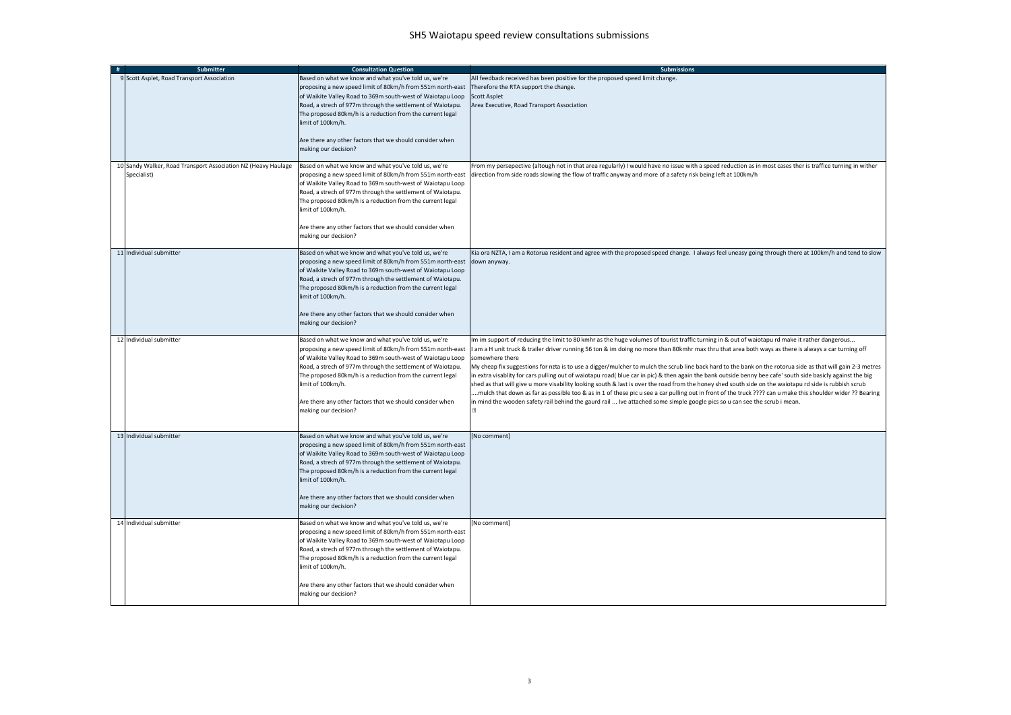| #                       | <b>Submitter</b>                                              | <b>Consultation Question</b>                                                                                                                                                                                                                                                                                                                                                                                        | <b>Submissions</b>                                                                                                                                                                                                                                                                                                                                                                                                                                                                                                                                                                                                                                                                                                                                                                                                                                                                                                                                                                                                                                                                                                          |
|-------------------------|---------------------------------------------------------------|---------------------------------------------------------------------------------------------------------------------------------------------------------------------------------------------------------------------------------------------------------------------------------------------------------------------------------------------------------------------------------------------------------------------|-----------------------------------------------------------------------------------------------------------------------------------------------------------------------------------------------------------------------------------------------------------------------------------------------------------------------------------------------------------------------------------------------------------------------------------------------------------------------------------------------------------------------------------------------------------------------------------------------------------------------------------------------------------------------------------------------------------------------------------------------------------------------------------------------------------------------------------------------------------------------------------------------------------------------------------------------------------------------------------------------------------------------------------------------------------------------------------------------------------------------------|
|                         | 9 Scott Asplet, Road Transport Association                    | Based on what we know and what you've told us, we're<br>proposing a new speed limit of 80km/h from 551m north-east<br>of Waikite Valley Road to 369m south-west of Waiotapu Loop<br>Road, a strech of 977m through the settlement of Waiotapu.<br>The proposed 80km/h is a reduction from the current legal<br>limit of 100km/h.<br>Are there any other factors that we should consider when                        | All feedback received has been positive for the proposed speed limit change.<br>Therefore the RTA support the change.<br><b>Scott Asplet</b><br>Area Executive, Road Transport Association                                                                                                                                                                                                                                                                                                                                                                                                                                                                                                                                                                                                                                                                                                                                                                                                                                                                                                                                  |
|                         |                                                               | making our decision?                                                                                                                                                                                                                                                                                                                                                                                                |                                                                                                                                                                                                                                                                                                                                                                                                                                                                                                                                                                                                                                                                                                                                                                                                                                                                                                                                                                                                                                                                                                                             |
| Specialist)             | 10 Sandy Walker, Road Transport Association NZ (Heavy Haulage | Based on what we know and what you've told us, we're<br>proposing a new speed limit of 80km/h from 551m north-east<br>of Waikite Valley Road to 369m south-west of Waiotapu Loop<br>Road, a strech of 977m through the settlement of Waiotapu.<br>The proposed 80km/h is a reduction from the current legal<br>imit of 100km/h.                                                                                     | From my persepective (altough not in that area regularly) I would have no issue with a speed reduction as in most cases ther is traffice turning in wither<br>direction from side roads slowing the flow of traffic anyway and more of a safety risk being left at 100km/h                                                                                                                                                                                                                                                                                                                                                                                                                                                                                                                                                                                                                                                                                                                                                                                                                                                  |
|                         |                                                               | Are there any other factors that we should consider when<br>making our decision?                                                                                                                                                                                                                                                                                                                                    |                                                                                                                                                                                                                                                                                                                                                                                                                                                                                                                                                                                                                                                                                                                                                                                                                                                                                                                                                                                                                                                                                                                             |
| 11 Individual submitter |                                                               | Based on what we know and what you've told us, we're<br>proposing a new speed limit of 80km/h from 551m north-east<br>of Waikite Valley Road to 369m south-west of Waiotapu Loop<br>Road, a strech of 977m through the settlement of Waiotapu.<br>The proposed 80km/h is a reduction from the current legal<br>imit of 100km/h.<br>Are there any other factors that we should consider when                         | Kia ora NZTA, I am a Rotorua resident and agree with the proposed speed change. I always feel uneasy going through there at 100km/h and tend to slow<br>down anyway.                                                                                                                                                                                                                                                                                                                                                                                                                                                                                                                                                                                                                                                                                                                                                                                                                                                                                                                                                        |
|                         |                                                               | making our decision?                                                                                                                                                                                                                                                                                                                                                                                                |                                                                                                                                                                                                                                                                                                                                                                                                                                                                                                                                                                                                                                                                                                                                                                                                                                                                                                                                                                                                                                                                                                                             |
| 12 Individual submitter |                                                               | Based on what we know and what you've told us, we're<br>proposing a new speed limit of 80km/h from 551m north-east<br>of Waikite Valley Road to 369m south-west of Waiotapu Loop<br>Road, a strech of 977m through the settlement of Waiotapu.<br>The proposed 80km/h is a reduction from the current legal<br>imit of 100km/h.<br>Are there any other factors that we should consider when<br>making our decision? | Im im support of reducing the limit to 80 kmhr as the huge volumes of tourist traffic turning in & out of waiotapu rd make it rather dangerous<br>I am a H unit truck & trailer driver running 56 ton & im doing no more than 80kmhr max thru that area both ways as there is always a car turning off<br>somewhere there<br>My cheap fix suggestions for nzta is to use a digger/mulcher to mulch the scrub line back hard to the bank on the rotorua side as that will gain 2-3 metres<br>in extra visablity for cars pulling out of waiotapu road( blue car in pic) & then again the bank outside benny bee cafe' south side basicly against the big<br>shed as that will give u more visability looking south & last is over the road from the honey shed south side on the waiotapu rd side is rubbish scrub<br>mulch that down as far as possible too & as in 1 of these pic u see a car pulling out in front of the truck ???? can u make this shoulder wider ?? Bearing<br>in mind the wooden safety rail behind the gaurd rail  Ive attached some simple google pics so u can see the scrub i mean.<br>$\boxtimes$ |
| 13 Individual submitter |                                                               | Based on what we know and what you've told us, we're<br>proposing a new speed limit of 80km/h from 551m north-east<br>of Waikite Valley Road to 369m south-west of Waiotapu Loop<br>Road, a strech of 977m through the settlement of Waiotapu.<br>The proposed 80km/h is a reduction from the current legal<br>imit of 100km/h.<br>Are there any other factors that we should consider when<br>making our decision? | [No comment]                                                                                                                                                                                                                                                                                                                                                                                                                                                                                                                                                                                                                                                                                                                                                                                                                                                                                                                                                                                                                                                                                                                |
| 14 Individual submitter |                                                               | Based on what we know and what you've told us, we're<br>proposing a new speed limit of 80km/h from 551m north-east<br>of Waikite Valley Road to 369m south-west of Waiotapu Loop<br>Road, a strech of 977m through the settlement of Waiotapu.<br>The proposed 80km/h is a reduction from the current legal<br>imit of 100km/h.<br>Are there any other factors that we should consider when                         | [No comment]                                                                                                                                                                                                                                                                                                                                                                                                                                                                                                                                                                                                                                                                                                                                                                                                                                                                                                                                                                                                                                                                                                                |
|                         |                                                               | making our decision?                                                                                                                                                                                                                                                                                                                                                                                                |                                                                                                                                                                                                                                                                                                                                                                                                                                                                                                                                                                                                                                                                                                                                                                                                                                                                                                                                                                                                                                                                                                                             |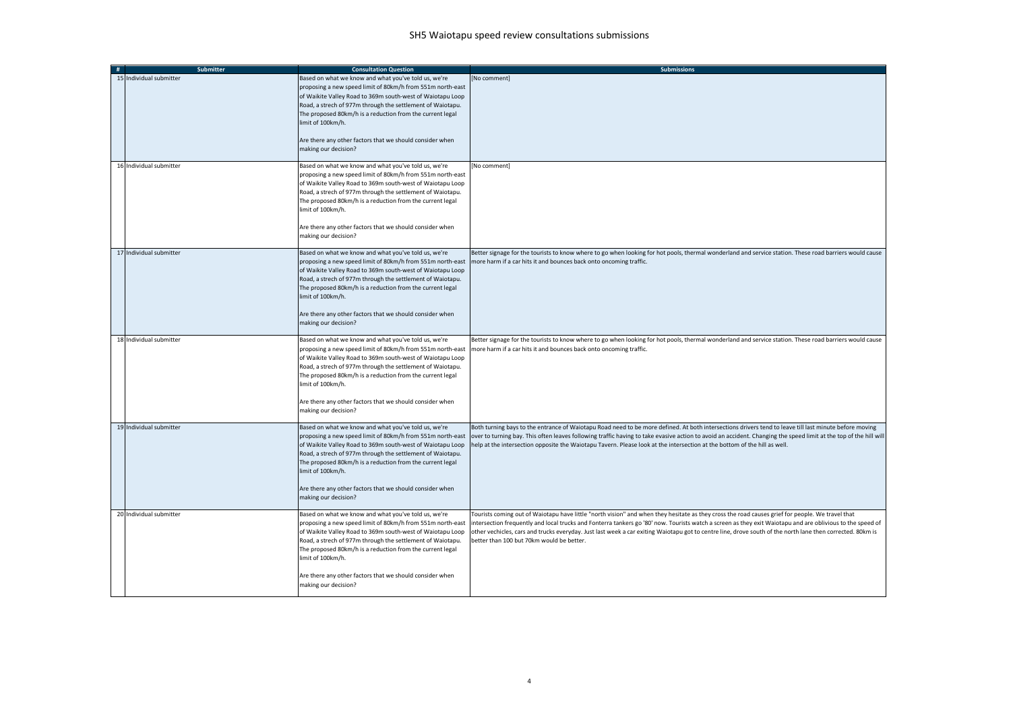| Submitter                  | <b>Consultation Question</b>                                                                                                                                                                                                                                                                                                                                                                                         | <b>Submissions</b>                                                                                                                                                                                                                                                                                                                                                                                                                                                                                                        |
|----------------------------|----------------------------------------------------------------------------------------------------------------------------------------------------------------------------------------------------------------------------------------------------------------------------------------------------------------------------------------------------------------------------------------------------------------------|---------------------------------------------------------------------------------------------------------------------------------------------------------------------------------------------------------------------------------------------------------------------------------------------------------------------------------------------------------------------------------------------------------------------------------------------------------------------------------------------------------------------------|
| 15<br>Individual submitter | Based on what we know and what you've told us, we're<br>proposing a new speed limit of 80km/h from 551m north-east<br>of Waikite Valley Road to 369m south-west of Waiotapu Loop<br>Road, a strech of 977m through the settlement of Waiotapu.<br>The proposed 80km/h is a reduction from the current legal<br>imit of 100km/h.<br>Are there any other factors that we should consider when<br>making our decision?  | [No comment]                                                                                                                                                                                                                                                                                                                                                                                                                                                                                                              |
| 16 Individual submitter    | Based on what we know and what you've told us, we're<br>proposing a new speed limit of 80km/h from 551m north-east<br>of Waikite Valley Road to 369m south-west of Waiotapu Loop<br>Road, a strech of 977m through the settlement of Waiotapu.<br>The proposed 80km/h is a reduction from the current legal<br>imit of 100km/h.<br>Are there any other factors that we should consider when<br>making our decision?  | [No comment]                                                                                                                                                                                                                                                                                                                                                                                                                                                                                                              |
| 17 Individual submitter    | Based on what we know and what you've told us, we're<br>proposing a new speed limit of 80km/h from 551m north-east<br>of Waikite Valley Road to 369m south-west of Waiotapu Loop<br>Road, a strech of 977m through the settlement of Waiotapu.<br>The proposed 80km/h is a reduction from the current legal<br>limit of 100km/h.<br>Are there any other factors that we should consider when<br>making our decision? | Better signage for the tourists to know where to go when looking for hot pools, thermal wonderland and service station. These road barriers would cause<br>more harm if a car hits it and bounces back onto oncoming traffic.                                                                                                                                                                                                                                                                                             |
| 18 Individual submitter    | Based on what we know and what you've told us, we're<br>proposing a new speed limit of 80km/h from 551m north-east<br>of Waikite Valley Road to 369m south-west of Waiotapu Loop<br>Road, a strech of 977m through the settlement of Waiotapu.<br>The proposed 80km/h is a reduction from the current legal<br>imit of 100km/h.<br>Are there any other factors that we should consider when<br>making our decision?  | Better signage for the tourists to know where to go when looking for hot pools, thermal wonderland and service station. These road barriers would cause<br>more harm if a car hits it and bounces back onto oncoming traffic.                                                                                                                                                                                                                                                                                             |
| 19 Individual submitter    | Based on what we know and what you've told us, we're<br>proposing a new speed limit of 80km/h from 551m north-east<br>of Waikite Valley Road to 369m south-west of Waiotapu Loop<br>Road, a strech of 977m through the settlement of Waiotapu.<br>The proposed 80km/h is a reduction from the current legal<br>imit of 100km/h.<br>Are there any other factors that we should consider when<br>making our decision?  | Both turning bays to the entrance of Waiotapu Road need to be more defined. At both intersections drivers tend to leave till last minute before moving<br>over to turning bay. This often leaves following traffic having to take evasive action to avoid an accident. Changing the speed limit at the top of the hill will<br>help at the intersection opposite the Waiotapu Tavern. Please look at the intersection at the bottom of the hill as well.                                                                  |
| 20 Individual submitter    | Based on what we know and what you've told us, we're<br>proposing a new speed limit of 80km/h from 551m north-east<br>of Waikite Valley Road to 369m south-west of Waiotapu Loop<br>Road, a strech of 977m through the settlement of Waiotapu.<br>The proposed 80km/h is a reduction from the current legal<br>imit of 100km/h.<br>Are there any other factors that we should consider when<br>making our decision?  | Tourists coming out of Waiotapu have little "north vision" and when they hesitate as they cross the road causes grief for people. We travel that<br>intersection frequently and local trucks and Fonterra tankers go '80' now. Tourists watch a screen as they exit Waiotapu and are oblivious to the speed of<br>other vechicles, cars and trucks everyday. Just last week a car exiting Waiotapu got to centre line, drove south of the north lane then corrected. 80km is<br>better than 100 but 70km would be better. |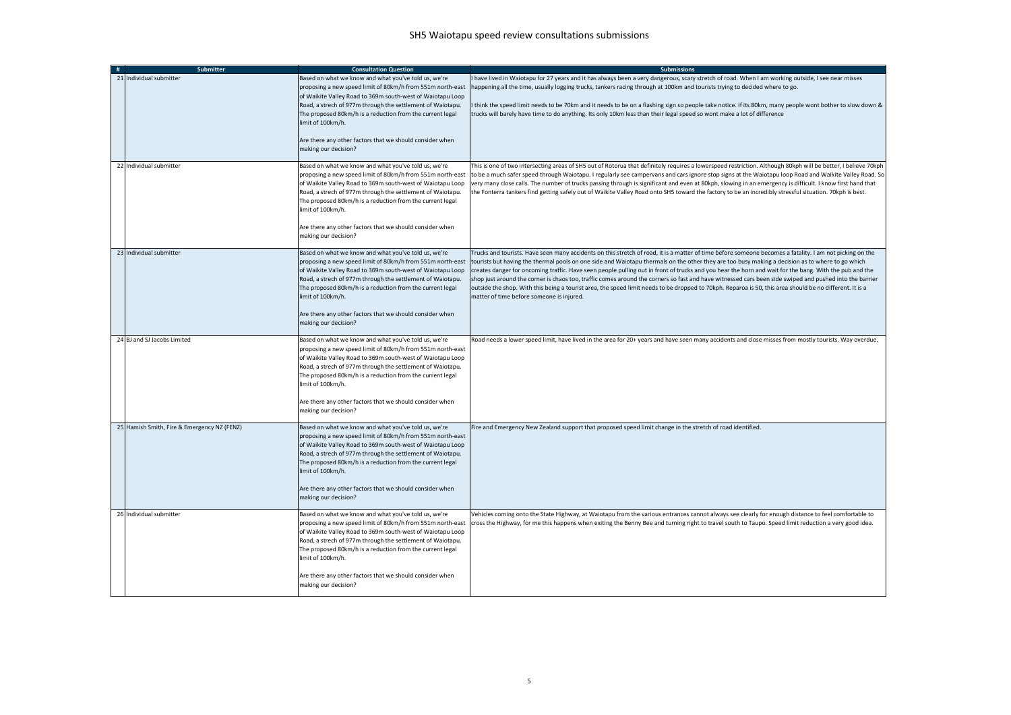| Submitter                                   | <b>Consultation Question</b>                                                                                                                                                                                                                                                                                                                                                                                        | <b>Submissions</b>                                                                                                                                                                                                                                                                                                                                                                                                                                                                                                                                                                                                                                                                                                                                                                                                                         |
|---------------------------------------------|---------------------------------------------------------------------------------------------------------------------------------------------------------------------------------------------------------------------------------------------------------------------------------------------------------------------------------------------------------------------------------------------------------------------|--------------------------------------------------------------------------------------------------------------------------------------------------------------------------------------------------------------------------------------------------------------------------------------------------------------------------------------------------------------------------------------------------------------------------------------------------------------------------------------------------------------------------------------------------------------------------------------------------------------------------------------------------------------------------------------------------------------------------------------------------------------------------------------------------------------------------------------------|
| 21 Individual submitter                     | Based on what we know and what you've told us, we're<br>proposing a new speed limit of 80km/h from 551m north-east<br>of Waikite Valley Road to 369m south-west of Waiotapu Loop<br>Road, a strech of 977m through the settlement of Waiotapu.<br>The proposed 80km/h is a reduction from the current legal<br>imit of 100km/h.<br>Are there any other factors that we should consider when                         | I have lived in Waiotapu for 27 years and it has always been a very dangerous, scary stretch of road. When I am working outside, I see near misses<br>happening all the time, usually logging trucks, tankers racing through at 100km and tourists trying to decided where to go.<br>I think the speed limit needs to be 70km and it needs to be on a flashing sign so people take notice. If its 80km, many people wont bother to slow down &<br>trucks will barely have time to do anything. Its only 10km less than their legal speed so wont make a lot of difference                                                                                                                                                                                                                                                                  |
|                                             | making our decision?                                                                                                                                                                                                                                                                                                                                                                                                |                                                                                                                                                                                                                                                                                                                                                                                                                                                                                                                                                                                                                                                                                                                                                                                                                                            |
| 22 Individual submitter                     | Based on what we know and what you've told us, we're<br>proposing a new speed limit of 80km/h from 551m north-east<br>of Waikite Valley Road to 369m south-west of Waiotapu Loop<br>Road, a strech of 977m through the settlement of Waiotapu.<br>The proposed 80km/h is a reduction from the current legal<br>imit of 100km/h.                                                                                     | This is one of two intersecting areas of SH5 out of Rotorua that definitely requires a lowerspeed restriction. Although 80kph will be better, I believe 70kph<br>to be a much safer speed through Waiotapu. I regularly see campervans and cars ignore stop signs at the Waiotapu loop Road and Waikite Valley Road. So<br>very many close calls. The number of trucks passing through is significant and even at 80kph, slowing in an emergency is difficult. I know first hand that<br>the Fonterra tankers find getting safely out of Waikite Valley Road onto SH5 toward the factory to be an incredibly stressful situation. 70kph is best.                                                                                                                                                                                           |
|                                             | Are there any other factors that we should consider when<br>making our decision?                                                                                                                                                                                                                                                                                                                                    |                                                                                                                                                                                                                                                                                                                                                                                                                                                                                                                                                                                                                                                                                                                                                                                                                                            |
| 23 Individual submitter                     | Based on what we know and what you've told us, we're<br>proposing a new speed limit of 80km/h from 551m north-east<br>of Waikite Valley Road to 369m south-west of Waiotapu Loop<br>Road, a strech of 977m through the settlement of Waiotapu.<br>The proposed 80km/h is a reduction from the current legal<br>imit of 100km/h.                                                                                     | Trucks and tourists. Have seen many accidents on this stretch of road, it is a matter of time before someone becomes a fatality. I am not picking on the<br>tourists but having the thermal pools on one side and Waiotapu thermals on the other they are too busy making a decision as to where to go which<br>creates danger for oncoming traffic. Have seen people pulling out in front of trucks and you hear the horn and wait for the bang. With the pub and the<br>shop just around the corner is chaos too, traffic comes around the corners so fast and have witnessed cars been side swiped and pushed into the barrier<br>outside the shop. With this being a tourist area, the speed limit needs to be dropped to 70kph. Reparoa is 50, this area should be no different. It is a<br>matter of time before someone is injured. |
|                                             | Are there any other factors that we should consider when<br>making our decision?                                                                                                                                                                                                                                                                                                                                    |                                                                                                                                                                                                                                                                                                                                                                                                                                                                                                                                                                                                                                                                                                                                                                                                                                            |
| 24 BJ and SJ Jacobs Limited                 | Based on what we know and what you've told us, we're<br>proposing a new speed limit of 80km/h from 551m north-east<br>of Waikite Valley Road to 369m south-west of Waiotapu Loop<br>Road, a strech of 977m through the settlement of Waiotapu.<br>The proposed 80km/h is a reduction from the current legal<br>imit of 100km/h.                                                                                     | Road needs a lower speed limit, have lived in the area for 20+ years and have seen many accidents and close misses from mostly tourists. Way overdue.                                                                                                                                                                                                                                                                                                                                                                                                                                                                                                                                                                                                                                                                                      |
|                                             | Are there any other factors that we should consider when<br>making our decision?                                                                                                                                                                                                                                                                                                                                    |                                                                                                                                                                                                                                                                                                                                                                                                                                                                                                                                                                                                                                                                                                                                                                                                                                            |
| 25 Hamish Smith, Fire & Emergency NZ (FENZ) | Based on what we know and what you've told us, we're<br>proposing a new speed limit of 80km/h from 551m north-east<br>of Waikite Valley Road to 369m south-west of Waiotapu Loop<br>Road, a strech of 977m through the settlement of Waiotapu.<br>The proposed 80km/h is a reduction from the current legal<br>imit of 100km/h.<br>Are there any other factors that we should consider when                         | Fire and Emergency New Zealand support that proposed speed limit change in the stretch of road identified.                                                                                                                                                                                                                                                                                                                                                                                                                                                                                                                                                                                                                                                                                                                                 |
|                                             | making our decision?                                                                                                                                                                                                                                                                                                                                                                                                |                                                                                                                                                                                                                                                                                                                                                                                                                                                                                                                                                                                                                                                                                                                                                                                                                                            |
| 26 Individual submitter                     | Based on what we know and what you've told us, we're<br>proposing a new speed limit of 80km/h from 551m north-east<br>of Waikite Valley Road to 369m south-west of Waiotapu Loop<br>Road, a strech of 977m through the settlement of Waiotapu.<br>The proposed 80km/h is a reduction from the current legal<br>imit of 100km/h.<br>Are there any other factors that we should consider when<br>making our decision? | Vehicles coming onto the State Highway, at Waiotapu from the various entrances cannot always see clearly for enough distance to feel comfortable to<br>cross the Highway, for me this happens when exiting the Benny Bee and turning right to travel south to Taupo. Speed limit reduction a very good idea.                                                                                                                                                                                                                                                                                                                                                                                                                                                                                                                               |
|                                             |                                                                                                                                                                                                                                                                                                                                                                                                                     |                                                                                                                                                                                                                                                                                                                                                                                                                                                                                                                                                                                                                                                                                                                                                                                                                                            |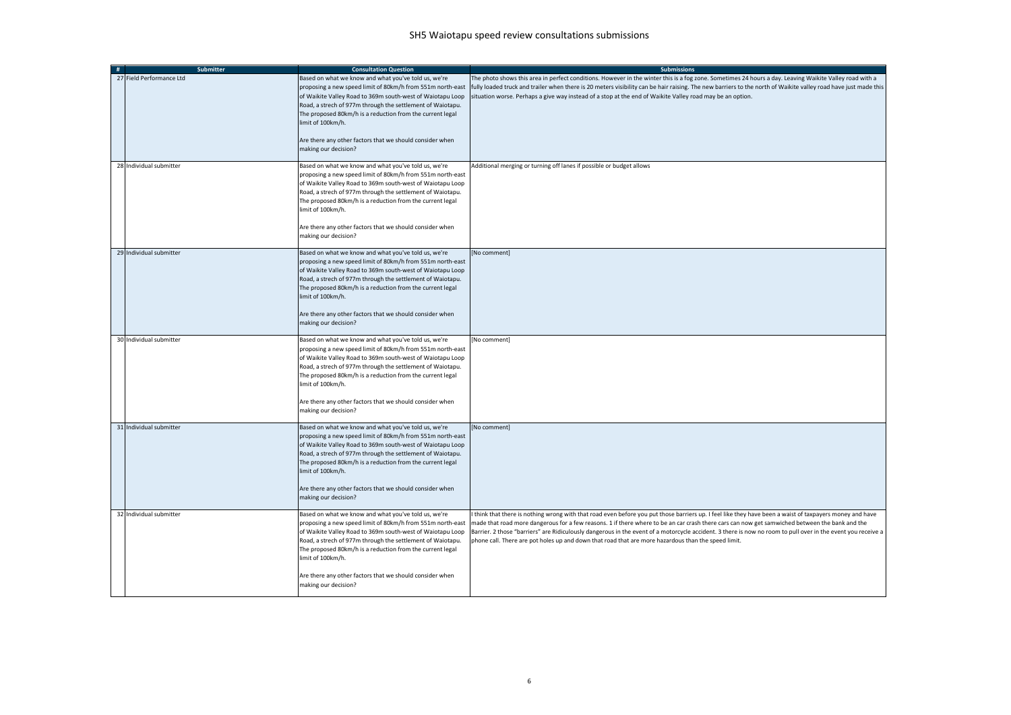| # | <b>Submitter</b>         | <b>Consultation Question</b>                                                                                                                                                                                                                                                                                                                                                                                         | <b>Submissions</b>                                                                                                                                                                                                                                                                                                                                                                                                                                                                                                                                                              |
|---|--------------------------|----------------------------------------------------------------------------------------------------------------------------------------------------------------------------------------------------------------------------------------------------------------------------------------------------------------------------------------------------------------------------------------------------------------------|---------------------------------------------------------------------------------------------------------------------------------------------------------------------------------------------------------------------------------------------------------------------------------------------------------------------------------------------------------------------------------------------------------------------------------------------------------------------------------------------------------------------------------------------------------------------------------|
|   | 27 Field Performance Ltd | Based on what we know and what you've told us, we're<br>proposing a new speed limit of 80km/h from 551m north-east<br>of Waikite Valley Road to 369m south-west of Waiotapu Loop<br>Road, a strech of 977m through the settlement of Waiotapu.<br>The proposed 80km/h is a reduction from the current legal<br>limit of 100km/h.<br>Are there any other factors that we should consider when<br>making our decision? | The photo shows this area in perfect conditions. However in the winter this is a fog zone. Sometimes 24 hours a day. Leaving Waikite Valley road with a<br>fully loaded truck and trailer when there is 20 meters visibility can be hair raising. The new barriers to the north of Waikite valley road have just made this<br>situation worse. Perhaps a give way instead of a stop at the end of Waikite Valley road may be an option.                                                                                                                                         |
|   | 28 Individual submitter  | Based on what we know and what you've told us, we're<br>proposing a new speed limit of 80km/h from 551m north-east<br>of Waikite Valley Road to 369m south-west of Waiotapu Loop<br>Road, a strech of 977m through the settlement of Waiotapu.<br>The proposed 80km/h is a reduction from the current legal<br>limit of 100km/h.<br>Are there any other factors that we should consider when<br>making our decision? | Additional merging or turning off lanes if possible or budget allows                                                                                                                                                                                                                                                                                                                                                                                                                                                                                                            |
|   | 29 Individual submitter  | Based on what we know and what you've told us, we're<br>proposing a new speed limit of 80km/h from 551m north-east<br>of Waikite Valley Road to 369m south-west of Waiotapu Loop<br>Road, a strech of 977m through the settlement of Waiotapu.<br>The proposed 80km/h is a reduction from the current legal<br>limit of 100km/h.<br>Are there any other factors that we should consider when<br>making our decision? | No comment]                                                                                                                                                                                                                                                                                                                                                                                                                                                                                                                                                                     |
|   | 30 Individual submitter  | Based on what we know and what you've told us, we're<br>proposing a new speed limit of 80km/h from 551m north-east<br>of Waikite Valley Road to 369m south-west of Waiotapu Loop<br>Road, a strech of 977m through the settlement of Waiotapu.<br>The proposed 80km/h is a reduction from the current legal<br>imit of 100km/h.<br>Are there any other factors that we should consider when<br>making our decision?  | No comment]                                                                                                                                                                                                                                                                                                                                                                                                                                                                                                                                                                     |
|   | 31 Individual submitter  | Based on what we know and what you've told us, we're<br>proposing a new speed limit of 80km/h from 551m north-east<br>of Waikite Valley Road to 369m south-west of Waiotapu Loop<br>Road, a strech of 977m through the settlement of Waiotapu.<br>The proposed 80km/h is a reduction from the current legal<br>limit of 100km/h.<br>Are there any other factors that we should consider when<br>making our decision? | No comment]                                                                                                                                                                                                                                                                                                                                                                                                                                                                                                                                                                     |
|   | 32 Individual submitter  | Based on what we know and what you've told us, we're<br>proposing a new speed limit of 80km/h from 551m north-east<br>of Waikite Valley Road to 369m south-west of Waiotapu Loop<br>Road, a strech of 977m through the settlement of Waiotapu.<br>The proposed 80km/h is a reduction from the current legal<br>imit of 100km/h.<br>Are there any other factors that we should consider when<br>making our decision?  | think that there is nothing wrong with that road even before you put those barriers up. I feel like they have been a waist of taxpayers money and have<br>made that road more dangerous for a few reasons. 1 if there where to be an car crash there cars can now get samwiched between the bank and the<br>Barrier. 2 those "barriers" are Ridiculously dangerous in the event of a motorcycle accident. 3 there is now no room to pull over in the event you receive a<br>phone call. There are pot holes up and down that road that are more hazardous than the speed limit. |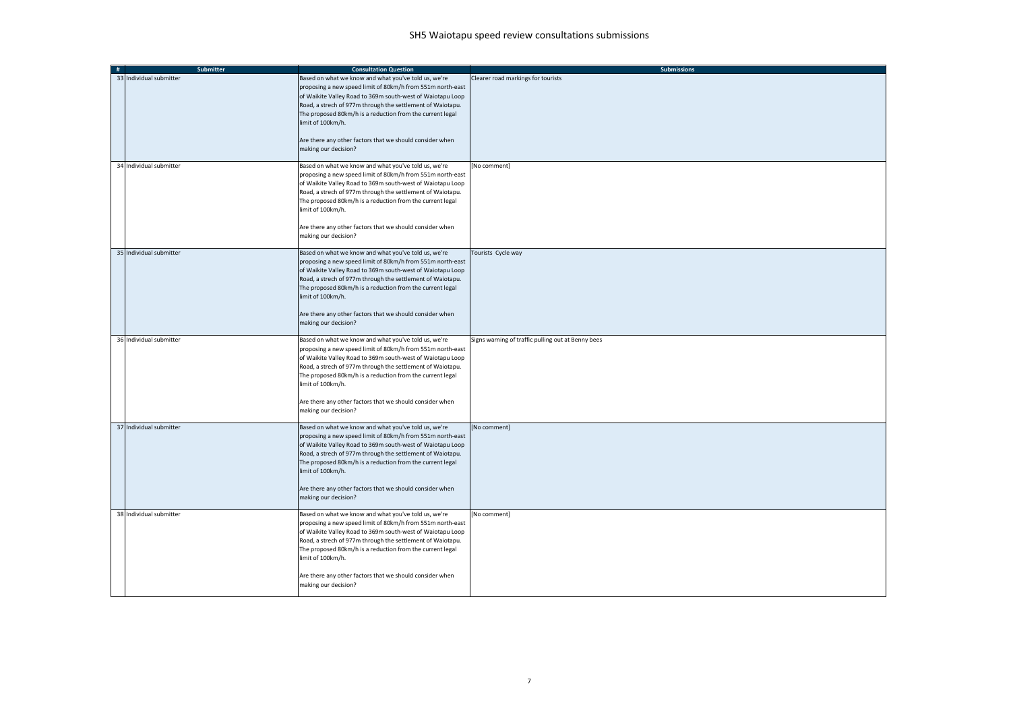| #                       | <b>Submitter</b> | <b>Consultation Question</b>                                                                                                                                                                                                                                                                                                                                                                                         | <b>Submissions</b>                                 |
|-------------------------|------------------|----------------------------------------------------------------------------------------------------------------------------------------------------------------------------------------------------------------------------------------------------------------------------------------------------------------------------------------------------------------------------------------------------------------------|----------------------------------------------------|
| 33 Individual submitter |                  | Based on what we know and what you've told us, we're<br>proposing a new speed limit of 80km/h from 551m north-east<br>of Waikite Valley Road to 369m south-west of Waiotapu Loop<br>Road, a strech of 977m through the settlement of Waiotapu.<br>The proposed 80km/h is a reduction from the current legal<br>limit of 100km/h.<br>Are there any other factors that we should consider when<br>making our decision? | Clearer road markings for tourists                 |
| 34 Individual submitter |                  | Based on what we know and what you've told us, we're<br>proposing a new speed limit of 80km/h from 551m north-east<br>of Waikite Valley Road to 369m south-west of Waiotapu Loop<br>Road, a strech of 977m through the settlement of Waiotapu.<br>The proposed 80km/h is a reduction from the current legal<br>limit of 100km/h.<br>Are there any other factors that we should consider when<br>making our decision? | [No comment]                                       |
| 35 Individual submitter |                  | Based on what we know and what you've told us, we're<br>proposing a new speed limit of 80km/h from 551m north-east<br>of Waikite Valley Road to 369m south-west of Waiotapu Loop<br>Road, a strech of 977m through the settlement of Waiotapu.<br>The proposed 80km/h is a reduction from the current legal<br>limit of 100km/h.<br>Are there any other factors that we should consider when<br>making our decision? | Tourists Cycle way                                 |
| 36 Individual submitter |                  | Based on what we know and what you've told us, we're<br>proposing a new speed limit of 80km/h from 551m north-east<br>of Waikite Valley Road to 369m south-west of Waiotapu Loop<br>Road, a strech of 977m through the settlement of Waiotapu.<br>The proposed 80km/h is a reduction from the current legal<br>limit of 100km/h.<br>Are there any other factors that we should consider when<br>making our decision? | Signs warning of traffic pulling out at Benny bees |
| 37 Individual submitter |                  | Based on what we know and what you've told us, we're<br>proposing a new speed limit of 80km/h from 551m north-east<br>of Waikite Valley Road to 369m south-west of Waiotapu Loop<br>Road, a strech of 977m through the settlement of Waiotapu.<br>The proposed 80km/h is a reduction from the current legal<br>limit of 100km/h.<br>Are there any other factors that we should consider when<br>making our decision? | [No comment]                                       |
| 38 Individual submitter |                  | Based on what we know and what you've told us, we're<br>proposing a new speed limit of 80km/h from 551m north-east<br>of Waikite Valley Road to 369m south-west of Waiotapu Loop<br>Road, a strech of 977m through the settlement of Waiotapu.<br>The proposed 80km/h is a reduction from the current legal<br>limit of 100km/h.<br>Are there any other factors that we should consider when<br>making our decision? | [No comment]                                       |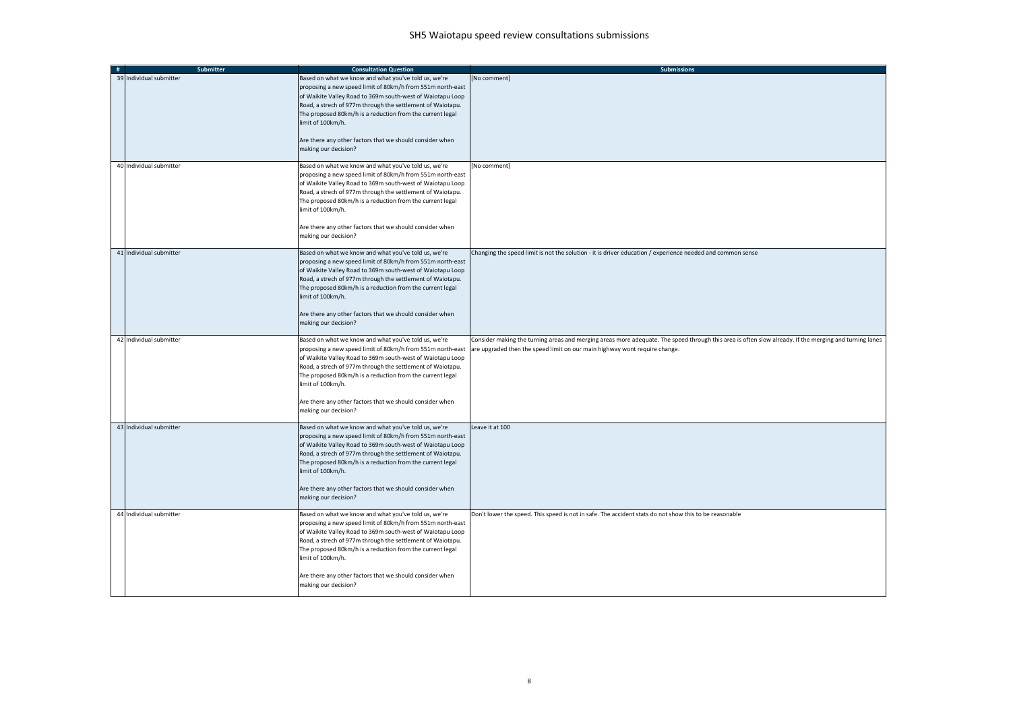| # | <b>Submitter</b>        | <b>Consultation Question</b>                                                                                                                                                                                                                                                                                                                                                                                        | <b>Submissions</b>                                                                                                                                                                                                                   |
|---|-------------------------|---------------------------------------------------------------------------------------------------------------------------------------------------------------------------------------------------------------------------------------------------------------------------------------------------------------------------------------------------------------------------------------------------------------------|--------------------------------------------------------------------------------------------------------------------------------------------------------------------------------------------------------------------------------------|
|   | 39 Individual submitter | Based on what we know and what you've told us, we're<br>proposing a new speed limit of 80km/h from 551m north-east<br>of Waikite Valley Road to 369m south-west of Waiotapu Loop<br>Road, a strech of 977m through the settlement of Waiotapu.<br>The proposed 80km/h is a reduction from the current legal<br>imit of 100km/h.<br>Are there any other factors that we should consider when<br>making our decision? | [No comment]                                                                                                                                                                                                                         |
|   |                         |                                                                                                                                                                                                                                                                                                                                                                                                                     |                                                                                                                                                                                                                                      |
|   | 40 Individual submitter | Based on what we know and what you've told us, we're<br>proposing a new speed limit of 80km/h from 551m north-east<br>of Waikite Valley Road to 369m south-west of Waiotapu Loop<br>Road, a strech of 977m through the settlement of Waiotapu.<br>The proposed 80km/h is a reduction from the current legal<br>imit of 100km/h.                                                                                     | No comment]                                                                                                                                                                                                                          |
|   |                         | Are there any other factors that we should consider when<br>making our decision?                                                                                                                                                                                                                                                                                                                                    |                                                                                                                                                                                                                                      |
|   | 41 Individual submitter | Based on what we know and what you've told us, we're<br>proposing a new speed limit of 80km/h from 551m north-east<br>of Waikite Valley Road to 369m south-west of Waiotapu Loop<br>Road, a strech of 977m through the settlement of Waiotapu.<br>The proposed 80km/h is a reduction from the current legal<br>limit of 100km/h.<br>Are there any other factors that we should consider when                        | Changing the speed limit is not the solution - it is driver education / experience needed and common sense                                                                                                                           |
|   |                         | making our decision?                                                                                                                                                                                                                                                                                                                                                                                                |                                                                                                                                                                                                                                      |
|   | 42 Individual submitter | Based on what we know and what you've told us, we're<br>proposing a new speed limit of 80km/h from 551m north-east<br>of Waikite Valley Road to 369m south-west of Waiotapu Loop<br>Road, a strech of 977m through the settlement of Waiotapu.<br>The proposed 80km/h is a reduction from the current legal<br>imit of 100km/h.<br>Are there any other factors that we should consider when<br>making our decision? | Consider making the turning areas and merging areas more adequate. The speed through this area is often slow already. If the merging and turning lanes<br>are upgraded then the speed limit on our main highway wont require change. |
|   |                         |                                                                                                                                                                                                                                                                                                                                                                                                                     |                                                                                                                                                                                                                                      |
|   | 43 Individual submitter | Based on what we know and what you've told us, we're<br>proposing a new speed limit of 80km/h from 551m north-east<br>of Waikite Valley Road to 369m south-west of Waiotapu Loop<br>Road, a strech of 977m through the settlement of Waiotapu.<br>The proposed 80km/h is a reduction from the current legal<br>imit of 100km/h.<br>Are there any other factors that we should consider when<br>making our decision? | Leave it at 100                                                                                                                                                                                                                      |
|   | 44 Individual submitter | Based on what we know and what you've told us, we're                                                                                                                                                                                                                                                                                                                                                                | Don't lower the speed. This speed is not in safe. The accident stats do not show this to be reasonable                                                                                                                               |
|   |                         | proposing a new speed limit of 80km/h from 551m north-east<br>of Waikite Valley Road to 369m south-west of Waiotapu Loop<br>Road, a strech of 977m through the settlement of Waiotapu.<br>The proposed 80km/h is a reduction from the current legal<br>imit of 100km/h.<br>Are there any other factors that we should consider when                                                                                 |                                                                                                                                                                                                                                      |
|   |                         | making our decision?                                                                                                                                                                                                                                                                                                                                                                                                |                                                                                                                                                                                                                                      |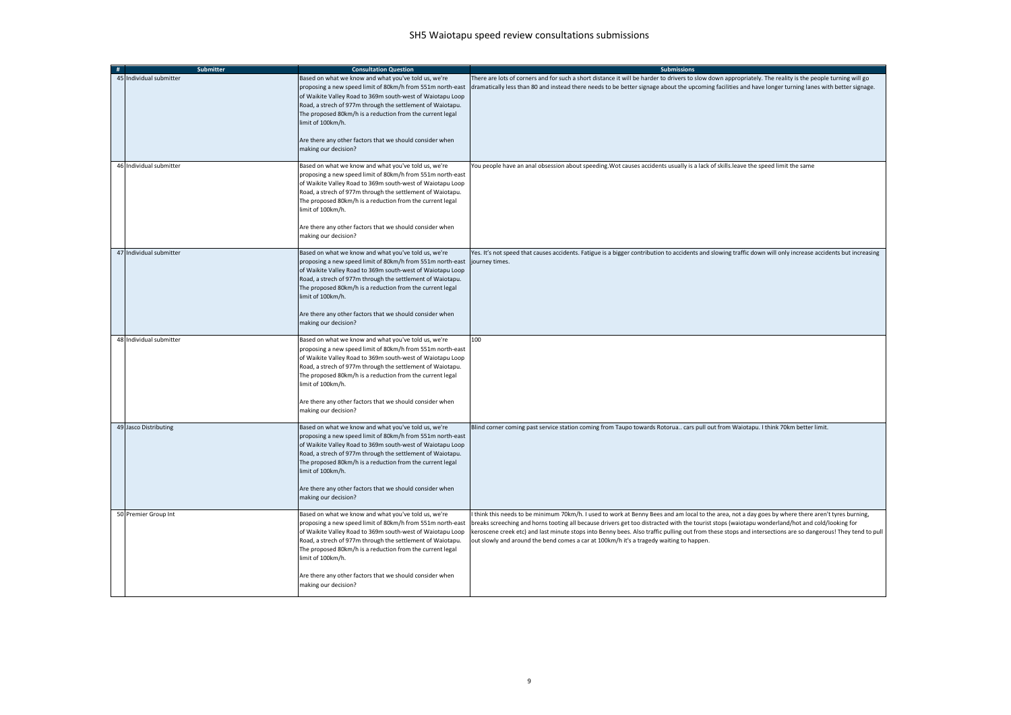| # | <b>Submitter</b>        | <b>Consultation Question</b>                                                                                                                                                                                                                                                                                                                                                                                                        | <b>Submissions</b>                                                                                                                                                                                                                                                                                                                                                                                                                                                                                                                                               |
|---|-------------------------|-------------------------------------------------------------------------------------------------------------------------------------------------------------------------------------------------------------------------------------------------------------------------------------------------------------------------------------------------------------------------------------------------------------------------------------|------------------------------------------------------------------------------------------------------------------------------------------------------------------------------------------------------------------------------------------------------------------------------------------------------------------------------------------------------------------------------------------------------------------------------------------------------------------------------------------------------------------------------------------------------------------|
|   | 45 Individual submitter | Based on what we know and what you've told us, we're<br>proposing a new speed limit of 80km/h from 551m north-east<br>of Waikite Valley Road to 369m south-west of Waiotapu Loop<br>Road, a strech of 977m through the settlement of Waiotapu.<br>The proposed 80km/h is a reduction from the current legal<br>limit of 100km/h.<br>Are there any other factors that we should consider when<br>making our decision?                | There are lots of corners and for such a short distance it will be harder to drivers to slow down appropriately. The reality is the people turning will go<br>dramatically less than 80 and instead there needs to be better signage about the upcoming facilities and have longer turning lanes with better signage.                                                                                                                                                                                                                                            |
|   | 46 Individual submitter | Based on what we know and what you've told us, we're<br>proposing a new speed limit of 80km/h from 551m north-east<br>of Waikite Valley Road to 369m south-west of Waiotapu Loop<br>Road, a strech of 977m through the settlement of Waiotapu.<br>The proposed 80km/h is a reduction from the current legal<br>limit of 100km/h.<br>Are there any other factors that we should consider when<br>making our decision?                | You people have an anal obsession about speeding. Wot causes accidents usually is a lack of skills. leave the speed limit the same                                                                                                                                                                                                                                                                                                                                                                                                                               |
|   | 47 Individual submitter | Based on what we know and what you've told us, we're<br>proposing a new speed limit of 80km/h from 551m north-east journey times.<br>of Waikite Valley Road to 369m south-west of Waiotapu Loop<br>Road, a strech of 977m through the settlement of Waiotapu.<br>The proposed 80km/h is a reduction from the current legal<br>limit of 100km/h.<br>Are there any other factors that we should consider when<br>making our decision? | Yes. It's not speed that causes accidents. Fatigue is a bigger contribution to accidents and slowing traffic down will only increase accidents but increasing                                                                                                                                                                                                                                                                                                                                                                                                    |
|   | 48 Individual submitter | Based on what we know and what you've told us, we're<br>proposing a new speed limit of 80km/h from 551m north-east<br>of Waikite Valley Road to 369m south-west of Waiotapu Loop<br>Road, a strech of 977m through the settlement of Waiotapu.<br>The proposed 80km/h is a reduction from the current legal<br>limit of 100km/h.<br>Are there any other factors that we should consider when<br>making our decision?                | 100                                                                                                                                                                                                                                                                                                                                                                                                                                                                                                                                                              |
|   | 49 Jasco Distributing   | Based on what we know and what you've told us, we're<br>proposing a new speed limit of 80km/h from 551m north-east<br>of Waikite Valley Road to 369m south-west of Waiotapu Loop<br>Road, a strech of 977m through the settlement of Waiotapu.<br>The proposed 80km/h is a reduction from the current legal<br>limit of 100km/h.<br>Are there any other factors that we should consider when<br>making our decision?                | Blind corner coming past service station coming from Taupo towards Rotorua cars pull out from Waiotapu. I think 70km better limit.                                                                                                                                                                                                                                                                                                                                                                                                                               |
|   | 50 Premier Group Int    | Based on what we know and what you've told us, we're<br>proposing a new speed limit of 80km/h from 551m north-east<br>of Waikite Valley Road to 369m south-west of Waiotapu Loop<br>Road, a strech of 977m through the settlement of Waiotapu.<br>The proposed 80km/h is a reduction from the current legal<br>limit of 100km/h.<br>Are there any other factors that we should consider when<br>making our decision?                | I think this needs to be minimum 70km/h. I used to work at Benny Bees and am local to the area, not a day goes by where there aren't tyres burning,<br>breaks screeching and horns tooting all because drivers get too distracted with the tourist stops (waiotapu wonderland/hot and cold/looking for<br>keroscene creek etc) and last minute stops into Benny bees. Also traffic pulling out from these stops and intersections are so dangerous! They tend to pull<br>out slowly and around the bend comes a car at 100km/h it's a tragedy waiting to happen. |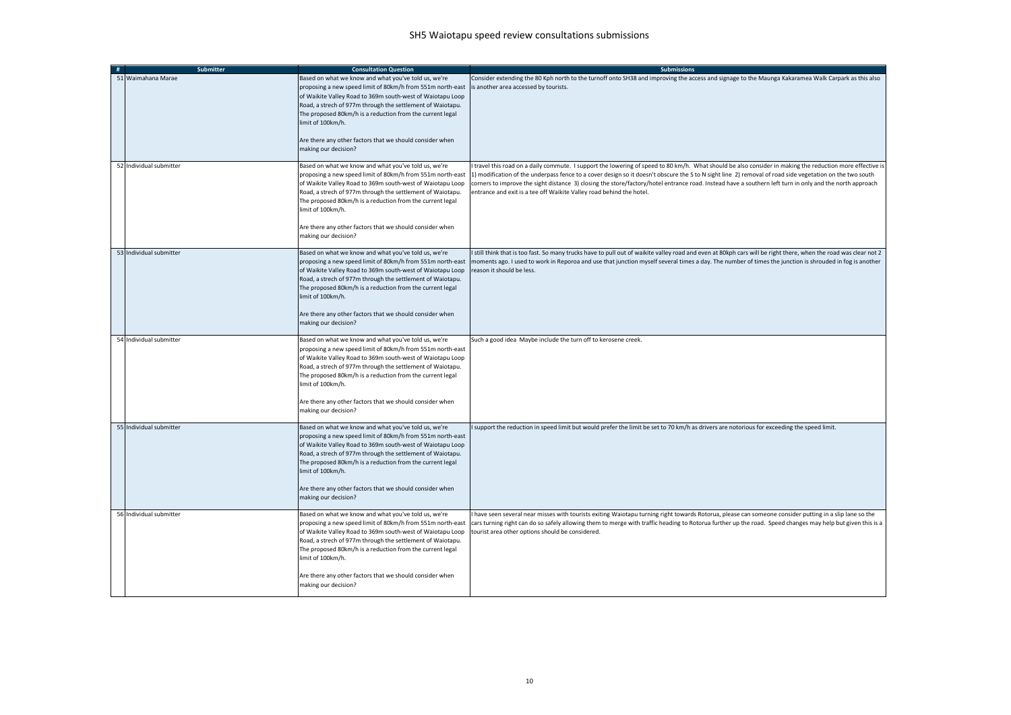| # | <b>Submitter</b>        | <b>Consultation Question</b>                                                                                                                                                                                                                                                                                                                                                                                         | <b>Submissions</b>                                                                                                                                                                                                                                                                                                                                                                                                                                                                                                                                      |
|---|-------------------------|----------------------------------------------------------------------------------------------------------------------------------------------------------------------------------------------------------------------------------------------------------------------------------------------------------------------------------------------------------------------------------------------------------------------|---------------------------------------------------------------------------------------------------------------------------------------------------------------------------------------------------------------------------------------------------------------------------------------------------------------------------------------------------------------------------------------------------------------------------------------------------------------------------------------------------------------------------------------------------------|
|   | 51 Waimahana Marae      | Based on what we know and what you've told us, we're<br>proposing a new speed limit of 80km/h from 551m north-east<br>of Waikite Valley Road to 369m south-west of Waiotapu Loop<br>Road, a strech of 977m through the settlement of Waiotapu.<br>The proposed 80km/h is a reduction from the current legal<br>limit of 100km/h.<br>Are there any other factors that we should consider when<br>making our decision? | Consider extending the 80 Kph north to the turnoff onto SH38 and improving the access and signage to the Maunga Kakaramea Walk Carpark as this also<br>is another area accessed by tourists.                                                                                                                                                                                                                                                                                                                                                            |
|   | 52 Individual submitter | Based on what we know and what you've told us, we're<br>proposing a new speed limit of 80km/h from 551m north-east<br>of Waikite Valley Road to 369m south-west of Waiotapu Loop<br>Road, a strech of 977m through the settlement of Waiotapu.<br>The proposed 80km/h is a reduction from the current legal<br>imit of 100km/h.<br>Are there any other factors that we should consider when<br>making our decision?  | travel this road on a daily commute. I support the lowering of speed to 80 km/h. What should be also consider in making the reduction more effective is<br>1) modification of the underpass fence to a cover design so it doesn't obscure the S to N sight line 2) removal of road side vegetation on the two south<br>corners to improve the sight distance 3) closing the store/factory/hotel entrance road. Instead have a southern left turn in only and the north approach<br>entrance and exit is a tee off Waikite Valley road behind the hotel. |
|   | 53 Individual submitter | Based on what we know and what you've told us, we're<br>proposing a new speed limit of 80km/h from 551m north-east<br>of Waikite Valley Road to 369m south-west of Waiotapu Loop<br>Road, a strech of 977m through the settlement of Waiotapu.<br>The proposed 80km/h is a reduction from the current legal<br>limit of 100km/h.<br>Are there any other factors that we should consider when<br>making our decision? | still think that is too fast. So many trucks have to pull out of waikite valley road and even at 80kph cars will be right there, when the road was clear not 2<br>moments ago. I used to work in Reporoa and use that junction myself several times a day. The number of times the junction is shrouded in fog is another<br>eason it should be less.                                                                                                                                                                                                   |
|   | 54 Individual submitter | Based on what we know and what you've told us, we're<br>proposing a new speed limit of 80km/h from 551m north-east<br>of Waikite Valley Road to 369m south-west of Waiotapu Loop<br>Road, a strech of 977m through the settlement of Waiotapu.<br>The proposed 80km/h is a reduction from the current legal<br>imit of 100km/h.<br>Are there any other factors that we should consider when<br>making our decision?  | Such a good idea Maybe include the turn off to kerosene creek.                                                                                                                                                                                                                                                                                                                                                                                                                                                                                          |
|   | 55 Individual submitter | Based on what we know and what you've told us, we're<br>proposing a new speed limit of 80km/h from 551m north-east<br>of Waikite Valley Road to 369m south-west of Waiotapu Loop<br>Road, a strech of 977m through the settlement of Waiotapu.<br>The proposed 80km/h is a reduction from the current legal<br>limit of 100km/h.<br>Are there any other factors that we should consider when<br>making our decision? | support the reduction in speed limit but would prefer the limit be set to 70 km/h as drivers are notorious for exceeding the speed limit.                                                                                                                                                                                                                                                                                                                                                                                                               |
|   | 56 Individual submitter | Based on what we know and what you've told us, we're<br>proposing a new speed limit of 80km/h from 551m north-east<br>of Waikite Valley Road to 369m south-west of Waiotapu Loop<br>Road, a strech of 977m through the settlement of Waiotapu.<br>The proposed 80km/h is a reduction from the current legal<br>imit of 100km/h.<br>Are there any other factors that we should consider when<br>making our decision?  | have seen several near misses with tourists exiting Waiotapu turning right towards Rotorua, please can someone consider putting in a slip lane so the<br>cars turning right can do so safely allowing them to merge with traffic heading to Rotorua further up the road. Speed changes may help but given this is a<br>tourist area other options should be considered.                                                                                                                                                                                 |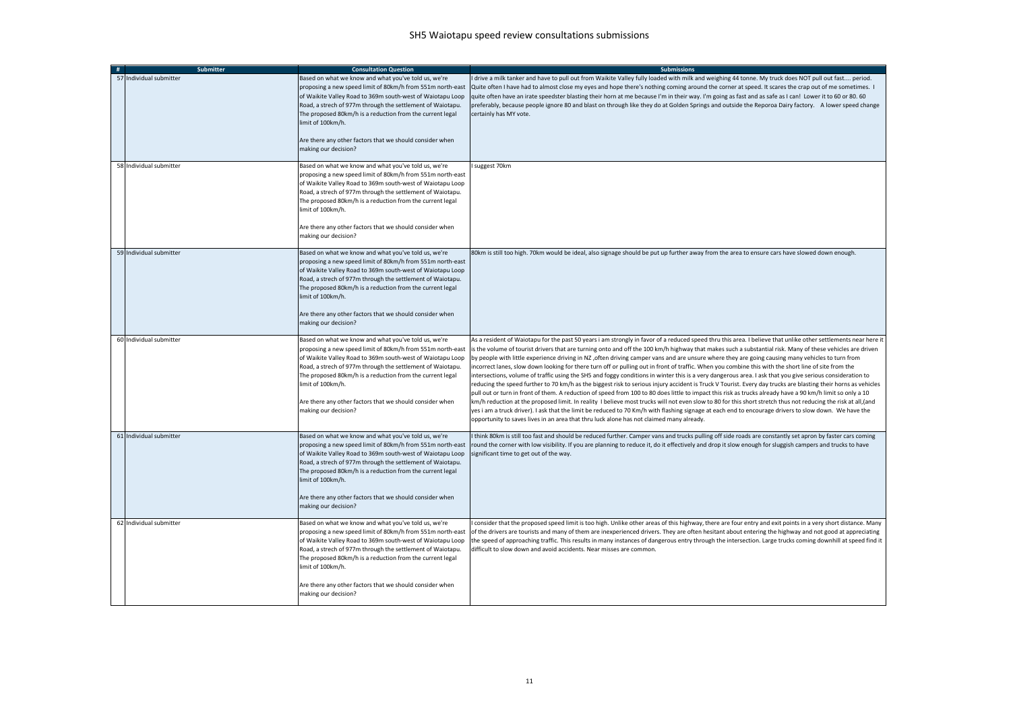| # | <b>Submitter</b>        | <b>Consultation Question</b>                                                                                                                                                                                                                                                                                                                                                                                         | <b>Submissions</b>                                                                                                                                                                                                                                                                                                                                                                                                                                                                                                                                                                                                                                                                                                                                                                                                                                                                                                                                                                                                                                                                                                                                                                                                                                                                                                                                                                                                                                                                                                                                          |
|---|-------------------------|----------------------------------------------------------------------------------------------------------------------------------------------------------------------------------------------------------------------------------------------------------------------------------------------------------------------------------------------------------------------------------------------------------------------|-------------------------------------------------------------------------------------------------------------------------------------------------------------------------------------------------------------------------------------------------------------------------------------------------------------------------------------------------------------------------------------------------------------------------------------------------------------------------------------------------------------------------------------------------------------------------------------------------------------------------------------------------------------------------------------------------------------------------------------------------------------------------------------------------------------------------------------------------------------------------------------------------------------------------------------------------------------------------------------------------------------------------------------------------------------------------------------------------------------------------------------------------------------------------------------------------------------------------------------------------------------------------------------------------------------------------------------------------------------------------------------------------------------------------------------------------------------------------------------------------------------------------------------------------------------|
|   | 57 Individual submitter | Based on what we know and what you've told us, we're<br>proposing a new speed limit of 80km/h from 551m north-east<br>of Waikite Valley Road to 369m south-west of Waiotapu Loop<br>Road, a strech of 977m through the settlement of Waiotapu.<br>The proposed 80km/h is a reduction from the current legal<br>limit of 100km/h.<br>Are there any other factors that we should consider when<br>making our decision? | drive a milk tanker and have to pull out from Waikite Valley fully loaded with milk and weighing 44 tonne. My truck does NOT pull out fast period.<br>Quite often I have had to almost close my eyes and hope there's nothing coming around the corner at speed. It scares the crap out of me sometimes. I<br>quite often have an irate speedster blasting their horn at me because I'm in their way. I'm going as fast and as safe as I can! Lower it to 60 or 80. 60<br>preferably, because people ignore 80 and blast on through like they do at Golden Springs and outside the Reporoa Dairy factory. A lower speed change<br>certainly has MY vote.                                                                                                                                                                                                                                                                                                                                                                                                                                                                                                                                                                                                                                                                                                                                                                                                                                                                                                    |
|   | 58 Individual submitter | Based on what we know and what you've told us, we're<br>proposing a new speed limit of 80km/h from 551m north-east<br>of Waikite Valley Road to 369m south-west of Waiotapu Loop<br>Road, a strech of 977m through the settlement of Waiotapu.<br>The proposed 80km/h is a reduction from the current legal<br>imit of 100km/h.<br>Are there any other factors that we should consider when<br>making our decision?  | suggest 70km                                                                                                                                                                                                                                                                                                                                                                                                                                                                                                                                                                                                                                                                                                                                                                                                                                                                                                                                                                                                                                                                                                                                                                                                                                                                                                                                                                                                                                                                                                                                                |
|   | 59 Individual submitter | Based on what we know and what you've told us, we're<br>proposing a new speed limit of 80km/h from 551m north-east<br>of Waikite Valley Road to 369m south-west of Waiotapu Loop<br>Road, a strech of 977m through the settlement of Waiotapu.<br>The proposed 80km/h is a reduction from the current legal<br>limit of 100km/h.<br>Are there any other factors that we should consider when<br>making our decision? | 80km is still too high. 70km would be ideal, also signage should be put up further away from the area to ensure cars have slowed down enough.                                                                                                                                                                                                                                                                                                                                                                                                                                                                                                                                                                                                                                                                                                                                                                                                                                                                                                                                                                                                                                                                                                                                                                                                                                                                                                                                                                                                               |
|   | 60 Individual submitter | Based on what we know and what you've told us, we're<br>proposing a new speed limit of 80km/h from 551m north-east<br>of Waikite Valley Road to 369m south-west of Waiotapu Loop<br>Road, a strech of 977m through the settlement of Waiotapu.<br>The proposed 80km/h is a reduction from the current legal<br>imit of 100km/h.<br>Are there any other factors that we should consider when<br>making our decision?  | As a resident of Waiotapu for the past 50 years i am strongly in favor of a reduced speed thru this area. I believe that unlike other settlements near here it<br>is the volume of tourist drivers that are turning onto and off the 100 km/h highway that makes such a substantial risk. Many of these vehicles are driven<br>by people with little experience driving in NZ, often driving camper vans and are unsure where they are going causing many vehicles to turn from<br>incorrect lanes, slow down looking for there turn off or pulling out in front of traffic. When you combine this with the short line of site from the<br>intersections, volume of traffic using the SH5 and foggy conditions in winter this is a very dangerous area. I ask that you give serious consideration to<br>reducing the speed further to 70 km/h as the biggest risk to serious injury accident is Truck V Tourist. Every day trucks are blasting their horns as vehicles<br>pull out or turn in front of them. A reduction of speed from 100 to 80 does little to impact this risk as trucks already have a 90 km/h limit so only a 10<br>km/h reduction at the proposed limit. In reality I believe most trucks will not even slow to 80 for this short stretch thus not reducing the risk at all, (and<br>yes i am a truck driver). I ask that the limit be reduced to 70 Km/h with flashing signage at each end to encourage drivers to slow down. We have the<br>opportunity to saves lives in an area that thru luck alone has not claimed many already. |
|   | 61 Individual submitter | Based on what we know and what you've told us, we're<br>proposing a new speed limit of 80km/h from 551m north-east<br>of Waikite Valley Road to 369m south-west of Waiotapu Loop<br>Road, a strech of 977m through the settlement of Waiotapu.<br>The proposed 80km/h is a reduction from the current legal<br>limit of 100km/h.<br>Are there any other factors that we should consider when<br>making our decision? | think 80km is still too fast and should be reduced further. Camper vans and trucks pulling off side roads are constantly set apron by faster cars coming<br>round the corner with low visibility. If you are planning to reduce it, do it effectively and drop it slow enough for sluggish campers and trucks to have<br>significant time to get out of the way.                                                                                                                                                                                                                                                                                                                                                                                                                                                                                                                                                                                                                                                                                                                                                                                                                                                                                                                                                                                                                                                                                                                                                                                            |
|   | 62 Individual submitter | Based on what we know and what you've told us, we're<br>proposing a new speed limit of 80km/h from 551m north-east<br>of Waikite Valley Road to 369m south-west of Waiotapu Loop<br>Road, a strech of 977m through the settlement of Waiotapu.<br>The proposed 80km/h is a reduction from the current legal<br>imit of 100km/h.<br>Are there any other factors that we should consider when<br>making our decision?  | consider that the proposed speed limit is too high. Unlike other areas of this highway, there are four entry and exit points in a very short distance. Many<br>of the drivers are tourists and many of them are inexperienced drivers. They are often hesitant about entering the highway and not good at appreciating<br>the speed of approaching traffic. This results in many instances of dangerous entry through the intersection. Large trucks coming downhill at speed find it<br>difficult to slow down and avoid accidents. Near misses are common.                                                                                                                                                                                                                                                                                                                                                                                                                                                                                                                                                                                                                                                                                                                                                                                                                                                                                                                                                                                                |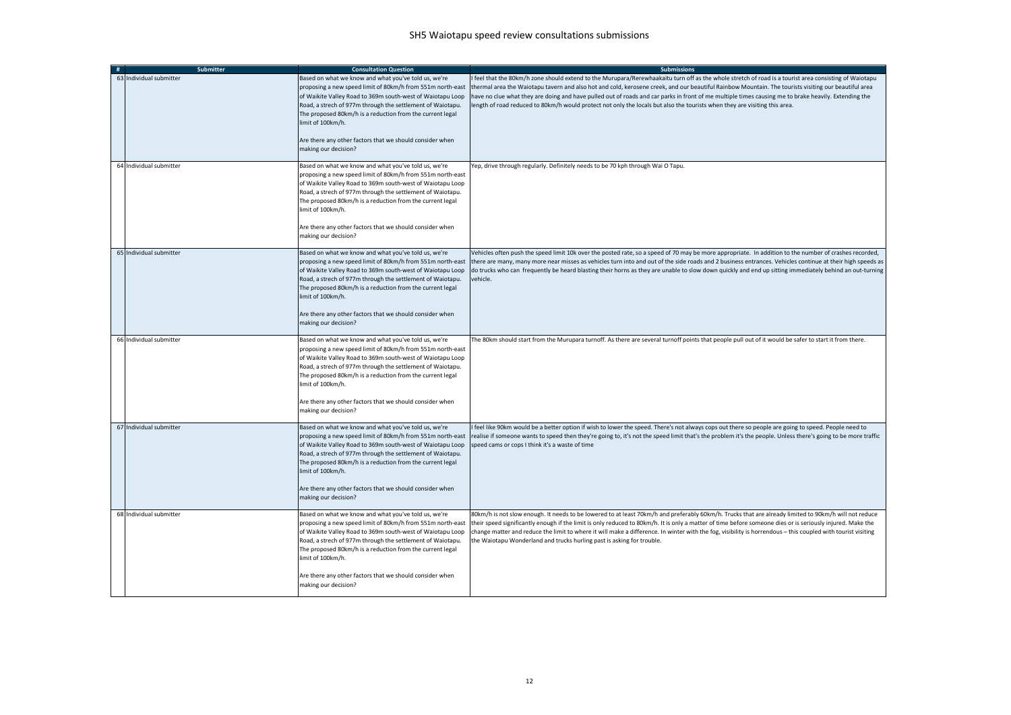| # | <b>Submitter</b>        | <b>Consultation Question</b>                                                                                                                                                                                                                                                                                                                                                                                         | <b>Submissions</b>                                                                                                                                                                                                                                                                                                                                                                                                                                                                                                                                                                                |
|---|-------------------------|----------------------------------------------------------------------------------------------------------------------------------------------------------------------------------------------------------------------------------------------------------------------------------------------------------------------------------------------------------------------------------------------------------------------|---------------------------------------------------------------------------------------------------------------------------------------------------------------------------------------------------------------------------------------------------------------------------------------------------------------------------------------------------------------------------------------------------------------------------------------------------------------------------------------------------------------------------------------------------------------------------------------------------|
|   | 63 Individual submitter | Based on what we know and what you've told us, we're<br>proposing a new speed limit of 80km/h from 551m north-east<br>of Waikite Valley Road to 369m south-west of Waiotapu Loop<br>Road, a strech of 977m through the settlement of Waiotapu.<br>The proposed 80km/h is a reduction from the current legal<br>limit of 100km/h.<br>Are there any other factors that we should consider when<br>making our decision? | feel that the 80km/h zone should extend to the Murupara/Rerewhaakaitu turn off as the whole stretch of road is a tourist area consisting of Waiotapu<br>thermal area the Waiotapu tavern and also hot and cold, kerosene creek, and our beautiful Rainbow Mountain. The tourists visiting our beautiful area<br>have no clue what they are doing and have pulled out of roads and car parks in front of me multiple times causing me to brake heavily. Extending the<br>ength of road reduced to 80km/h would protect not only the locals but also the tourists when they are visiting this area. |
|   | 64 Individual submitter | Based on what we know and what you've told us, we're<br>proposing a new speed limit of 80km/h from 551m north-east<br>of Waikite Valley Road to 369m south-west of Waiotapu Loop<br>Road, a strech of 977m through the settlement of Waiotapu.<br>The proposed 80km/h is a reduction from the current legal<br>imit of 100km/h.<br>Are there any other factors that we should consider when<br>making our decision?  | Yep, drive through regularly. Definitely needs to be 70 kph through Wai O Tapu.                                                                                                                                                                                                                                                                                                                                                                                                                                                                                                                   |
|   | 65 Individual submitter | Based on what we know and what you've told us, we're<br>proposing a new speed limit of 80km/h from 551m north-east<br>of Waikite Valley Road to 369m south-west of Waiotapu Loop<br>Road, a strech of 977m through the settlement of Waiotapu.<br>The proposed 80km/h is a reduction from the current legal<br>limit of 100km/h.<br>Are there any other factors that we should consider when<br>making our decision? | Vehicles often push the speed limit 10k over the posted rate, so a speed of 70 may be more appropriate. In addition to the number of crashes recorded,<br>there are many, many more near misses as vehicles turn into and out of the side roads and 2 business entrances. Vehicles continue at their high speeds as<br>do trucks who can frequently be heard blasting their horns as they are unable to slow down quickly and end up sitting immediately behind an out-turning<br>vehicle.                                                                                                        |
|   | 66 Individual submitter | Based on what we know and what you've told us, we're<br>proposing a new speed limit of 80km/h from 551m north-east<br>of Waikite Valley Road to 369m south-west of Waiotapu Loop<br>Road, a strech of 977m through the settlement of Waiotapu.<br>The proposed 80km/h is a reduction from the current legal<br>imit of 100km/h.<br>Are there any other factors that we should consider when<br>making our decision?  | The 80km should start from the Murupara turnoff. As there are several turnoff points that people pull out of it would be safer to start it from there.                                                                                                                                                                                                                                                                                                                                                                                                                                            |
|   | 67 Individual submitter | Based on what we know and what you've told us, we're<br>proposing a new speed limit of 80km/h from 551m north-east<br>of Waikite Valley Road to 369m south-west of Waiotapu Loop<br>Road, a strech of 977m through the settlement of Waiotapu.<br>The proposed 80km/h is a reduction from the current legal<br>limit of 100km/h.<br>Are there any other factors that we should consider when<br>making our decision? | feel like 90km would be a better option if wish to lower the speed. There's not always cops out there so people are going to speed. People need to<br>realise if someone wants to speed then they're going to, it's not the speed limit that's the problem it's the people. Unless there's going to be more traffic<br>speed cams or cops I think it's a waste of time                                                                                                                                                                                                                            |
|   | 68 Individual submitter | Based on what we know and what you've told us, we're<br>proposing a new speed limit of 80km/h from 551m north-east<br>of Waikite Valley Road to 369m south-west of Waiotapu Loop<br>Road, a strech of 977m through the settlement of Waiotapu.<br>The proposed 80km/h is a reduction from the current legal<br>imit of 100km/h.<br>Are there any other factors that we should consider when<br>making our decision?  | 80km/h is not slow enough. It needs to be lowered to at least 70km/h and preferably 60km/h. Trucks that are already limited to 90km/h will not reduce<br>their speed significantly enough if the limit is only reduced to 80km/h. It is only a matter of time before someone dies or is seriously injured. Make the<br>change matter and reduce the limit to where it will make a difference. In winter with the fog, visibility is horrendous - this coupled with tourist visiting<br>the Waiotapu Wonderland and trucks hurling past is asking for trouble.                                     |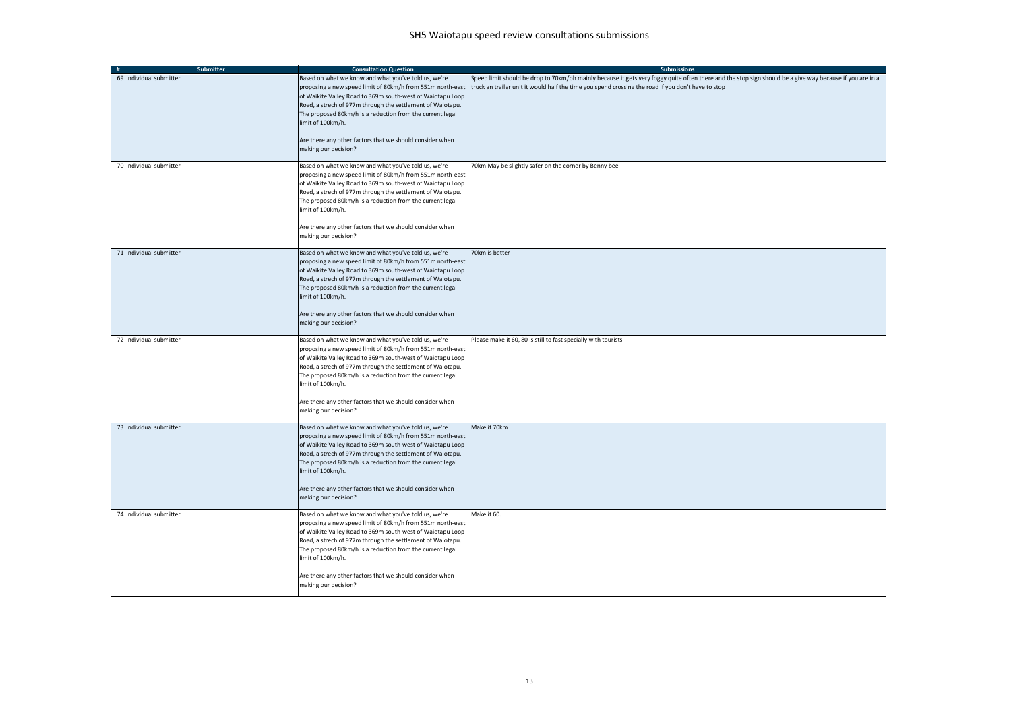| # | Submitter               | <b>Consultation Question</b>                                                                                                                                                                                                                                                                                                                                                                                         | <b>Submissions</b>                                                                                                                                                                                                                                             |
|---|-------------------------|----------------------------------------------------------------------------------------------------------------------------------------------------------------------------------------------------------------------------------------------------------------------------------------------------------------------------------------------------------------------------------------------------------------------|----------------------------------------------------------------------------------------------------------------------------------------------------------------------------------------------------------------------------------------------------------------|
|   | 69 Individual submitter | Based on what we know and what you've told us, we're<br>proposing a new speed limit of 80km/h from 551m north-east<br>of Waikite Valley Road to 369m south-west of Waiotapu Loop<br>Road, a strech of 977m through the settlement of Waiotapu.<br>The proposed 80km/h is a reduction from the current legal<br>limit of 100km/h.<br>Are there any other factors that we should consider when<br>making our decision? | Speed limit should be drop to 70km/ph mainly because it gets very foggy quite often there and the stop sign should be a give way because if you are in a<br>truck an trailer unit it would half the time you spend crossing the road if you don't have to stop |
|   | 70 Individual submitter | Based on what we know and what you've told us, we're<br>proposing a new speed limit of 80km/h from 551m north-east<br>of Waikite Valley Road to 369m south-west of Waiotapu Loop<br>Road, a strech of 977m through the settlement of Waiotapu.<br>The proposed 80km/h is a reduction from the current legal<br>limit of 100km/h.<br>Are there any other factors that we should consider when<br>making our decision? | 70km May be slightly safer on the corner by Benny bee                                                                                                                                                                                                          |
|   | 71 Individual submitter | Based on what we know and what you've told us, we're<br>proposing a new speed limit of 80km/h from 551m north-east<br>of Waikite Valley Road to 369m south-west of Waiotapu Loop<br>Road, a strech of 977m through the settlement of Waiotapu.<br>The proposed 80km/h is a reduction from the current legal<br>limit of 100km/h.<br>Are there any other factors that we should consider when<br>making our decision? | 70km is better                                                                                                                                                                                                                                                 |
|   | 72 Individual submitter | Based on what we know and what you've told us, we're<br>proposing a new speed limit of 80km/h from 551m north-east<br>of Waikite Valley Road to 369m south-west of Waiotapu Loop<br>Road, a strech of 977m through the settlement of Waiotapu.<br>The proposed 80km/h is a reduction from the current legal<br>limit of 100km/h.<br>Are there any other factors that we should consider when<br>making our decision? | Please make it 60, 80 is still to fast specially with tourists                                                                                                                                                                                                 |
|   | 73 Individual submitter | Based on what we know and what you've told us, we're<br>proposing a new speed limit of 80km/h from 551m north-east<br>of Waikite Valley Road to 369m south-west of Waiotapu Loop<br>Road, a strech of 977m through the settlement of Waiotapu.<br>The proposed 80km/h is a reduction from the current legal<br>limit of 100km/h.<br>Are there any other factors that we should consider when<br>making our decision? | Make it 70km                                                                                                                                                                                                                                                   |
|   | 74 Individual submitter | Based on what we know and what you've told us, we're<br>proposing a new speed limit of 80km/h from 551m north-east<br>of Waikite Valley Road to 369m south-west of Waiotapu Loop<br>Road, a strech of 977m through the settlement of Waiotapu.<br>The proposed 80km/h is a reduction from the current legal<br>limit of 100km/h.<br>Are there any other factors that we should consider when<br>making our decision? | Make it 60.                                                                                                                                                                                                                                                    |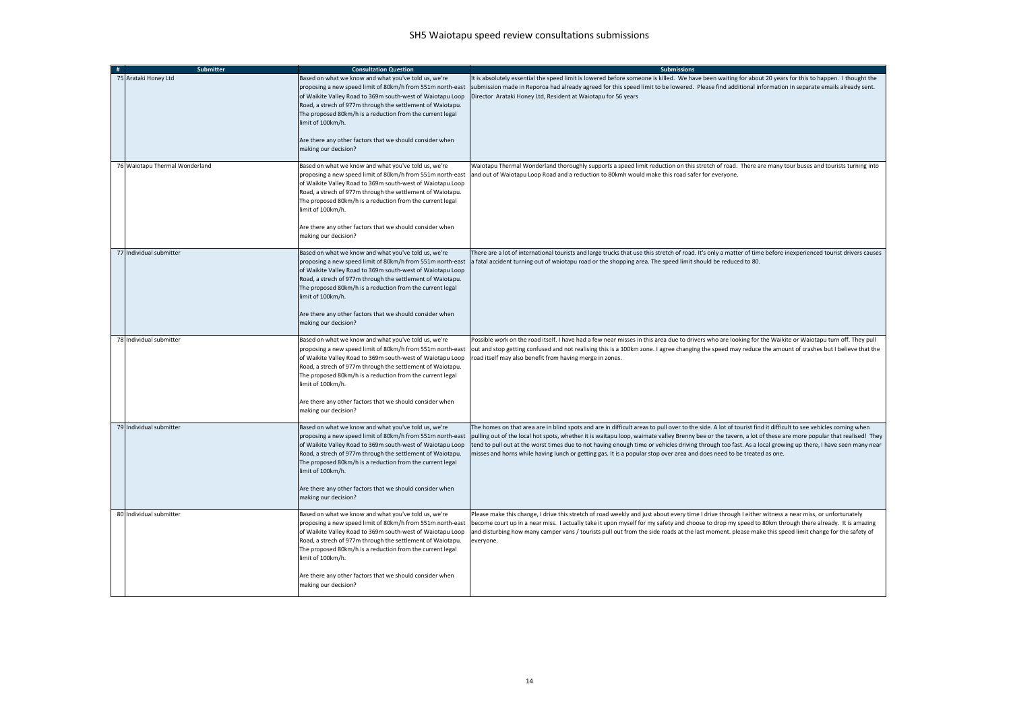| <b>Submitter</b><br>#          | <b>Consultation Question</b>                                                                                                                                                                                                                                                                                                                                                                                         | <b>Submissions</b>                                                                                                                                                                                                                                                                                                                                                                                                                                                                                                                                                                                                    |
|--------------------------------|----------------------------------------------------------------------------------------------------------------------------------------------------------------------------------------------------------------------------------------------------------------------------------------------------------------------------------------------------------------------------------------------------------------------|-----------------------------------------------------------------------------------------------------------------------------------------------------------------------------------------------------------------------------------------------------------------------------------------------------------------------------------------------------------------------------------------------------------------------------------------------------------------------------------------------------------------------------------------------------------------------------------------------------------------------|
| 75 Arataki Honey Ltd           | Based on what we know and what you've told us, we're<br>proposing a new speed limit of 80km/h from 551m north-east<br>of Waikite Valley Road to 369m south-west of Waiotapu Loop<br>Road, a strech of 977m through the settlement of Waiotapu.<br>The proposed 80km/h is a reduction from the current legal<br>limit of 100km/h.<br>Are there any other factors that we should consider when<br>making our decision? | It is absolutely essential the speed limit is lowered before someone is killed. We have been waiting for about 20 years for this to happen. I thought the<br>submission made in Reporoa had already agreed for this speed limit to be lowered. Please find additional information in separate emails already sent.<br>Director Arataki Honey Ltd, Resident at Waiotapu for 56 years                                                                                                                                                                                                                                   |
| 76 Waiotapu Thermal Wonderland | Based on what we know and what you've told us, we're<br>proposing a new speed limit of 80km/h from 551m north-east<br>of Waikite Valley Road to 369m south-west of Waiotapu Loop<br>Road, a strech of 977m through the settlement of Waiotapu.<br>The proposed 80km/h is a reduction from the current legal<br>limit of 100km/h.<br>Are there any other factors that we should consider when<br>making our decision? | Waiotapu Thermal Wonderland thoroughly supports a speed limit reduction on this stretch of road. There are many tour buses and tourists turning into<br>and out of Waiotapu Loop Road and a reduction to 80kmh would make this road safer for everyone.                                                                                                                                                                                                                                                                                                                                                               |
| 77 Individual submitter        | Based on what we know and what you've told us, we're<br>proposing a new speed limit of 80km/h from 551m north-east<br>of Waikite Valley Road to 369m south-west of Waiotapu Loop<br>Road, a strech of 977m through the settlement of Waiotapu.<br>The proposed 80km/h is a reduction from the current legal<br>limit of 100km/h.<br>Are there any other factors that we should consider when<br>making our decision? | There are a lot of international tourists and large trucks that use this stretch of road. It's only a matter of time before inexperienced tourist drivers causes<br>a fatal accident turning out of waiotapu road or the shopping area. The speed limit should be reduced to 80.                                                                                                                                                                                                                                                                                                                                      |
| 78 Individual submitter        | Based on what we know and what you've told us, we're<br>proposing a new speed limit of 80km/h from 551m north-east<br>of Waikite Valley Road to 369m south-west of Waiotapu Loop<br>Road, a strech of 977m through the settlement of Waiotapu.<br>The proposed 80km/h is a reduction from the current legal<br>limit of 100km/h.<br>Are there any other factors that we should consider when<br>making our decision? | Possible work on the road itself. I have had a few near misses in this area due to drivers who are looking for the Waikite or Waiotapu turn off. They pull<br>out and stop getting confused and not realising this is a 100km zone. I agree changing the speed may reduce the amount of crashes but I believe that the<br>road itself may also benefit from having merge in zones.                                                                                                                                                                                                                                    |
| 79 Individual submitter        | Based on what we know and what you've told us, we're<br>proposing a new speed limit of 80km/h from 551m north-east<br>of Waikite Valley Road to 369m south-west of Waiotapu Loop<br>Road, a strech of 977m through the settlement of Waiotapu.<br>The proposed 80km/h is a reduction from the current legal<br>limit of 100km/h.<br>Are there any other factors that we should consider when<br>making our decision? | The homes on that area are in blind spots and are in difficult areas to pull over to the side. A lot of tourist find it difficult to see vehicles coming when<br>pulling out of the local hot spots, whether it is waitapu loop, waimate valley Brenny bee or the tavern, a lot of these are more popular that realised! They<br>tend to pull out at the worst times due to not having enough time or vehicles driving through too fast. As a local growing up there, I have seen many near<br>misses and horns while having lunch or getting gas. It is a popular stop over area and does need to be treated as one. |
| 80 Individual submitter        | Based on what we know and what you've told us, we're<br>proposing a new speed limit of 80km/h from 551m north-east<br>of Waikite Valley Road to 369m south-west of Waiotapu Loop<br>Road, a strech of 977m through the settlement of Waiotapu.<br>The proposed 80km/h is a reduction from the current legal<br>imit of 100km/h.<br>Are there any other factors that we should consider when<br>making our decision?  | Please make this change, I drive this stretch of road weekly and just about every time I drive through I either witness a near miss, or unfortunately<br>become court up in a near miss. I actually take it upon myself for my safety and choose to drop my speed to 80km through there already. It is amazing<br>and disturbing how many camper vans / tourists pull out from the side roads at the last moment. please make this speed limit change for the safety of<br>everyone.                                                                                                                                  |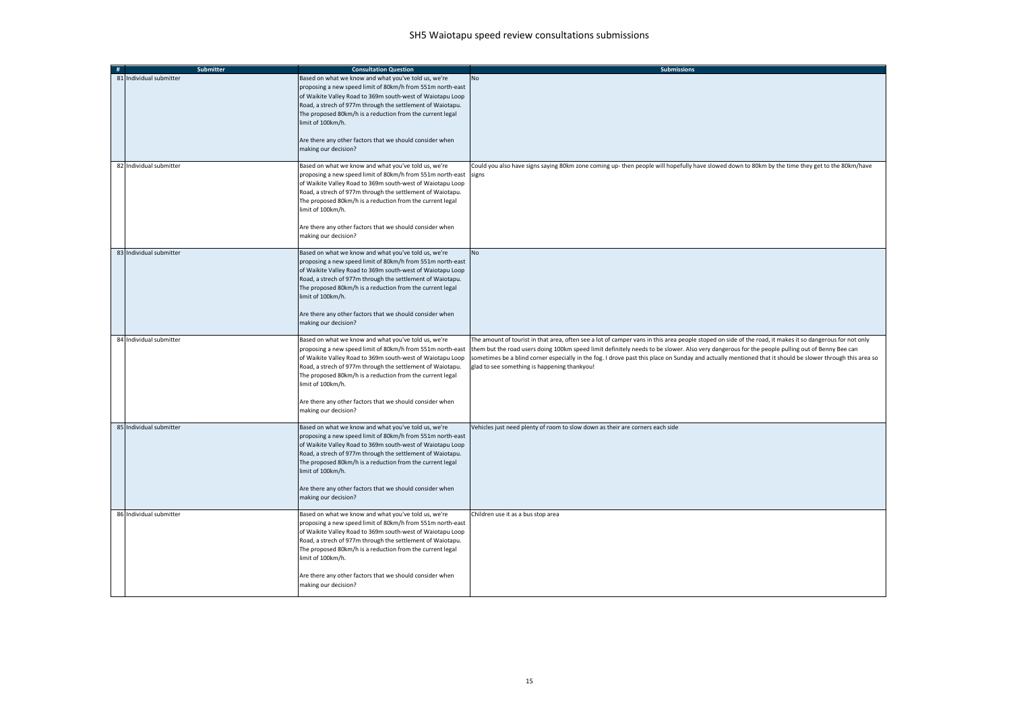| # | <b>Submitter</b>        | <b>Consultation Question</b>                                                                                                                                                                                                                                                                                                                                                                                         | <b>Submissions</b>                                                                                                                                                                                                                                                                                                                                                                                                                                                                                                      |
|---|-------------------------|----------------------------------------------------------------------------------------------------------------------------------------------------------------------------------------------------------------------------------------------------------------------------------------------------------------------------------------------------------------------------------------------------------------------|-------------------------------------------------------------------------------------------------------------------------------------------------------------------------------------------------------------------------------------------------------------------------------------------------------------------------------------------------------------------------------------------------------------------------------------------------------------------------------------------------------------------------|
|   | 81 Individual submitter | Based on what we know and what you've told us, we're<br>proposing a new speed limit of 80km/h from 551m north-east<br>of Waikite Valley Road to 369m south-west of Waiotapu Loop<br>Road, a strech of 977m through the settlement of Waiotapu.<br>The proposed 80km/h is a reduction from the current legal<br>limit of 100km/h.<br>Are there any other factors that we should consider when<br>making our decision? | No                                                                                                                                                                                                                                                                                                                                                                                                                                                                                                                      |
|   | 82 Individual submitter | Based on what we know and what you've told us, we're<br>proposing a new speed limit of 80km/h from 551m north-east<br>of Waikite Valley Road to 369m south-west of Waiotapu Loop<br>Road, a strech of 977m through the settlement of Waiotapu.<br>The proposed 80km/h is a reduction from the current legal<br>limit of 100km/h.<br>Are there any other factors that we should consider when<br>making our decision? | Could you also have signs saying 80km zone coming up- then people will hopefully have slowed down to 80km by the time they get to the 80km/have<br>signs                                                                                                                                                                                                                                                                                                                                                                |
|   | 83 Individual submitter | Based on what we know and what you've told us, we're<br>proposing a new speed limit of 80km/h from 551m north-east<br>of Waikite Valley Road to 369m south-west of Waiotapu Loop<br>Road, a strech of 977m through the settlement of Waiotapu.<br>The proposed 80km/h is a reduction from the current legal<br>limit of 100km/h.<br>Are there any other factors that we should consider when<br>making our decision? | <b>No</b>                                                                                                                                                                                                                                                                                                                                                                                                                                                                                                               |
|   | 84 Individual submitter | Based on what we know and what you've told us, we're<br>proposing a new speed limit of 80km/h from 551m north-east<br>of Waikite Valley Road to 369m south-west of Waiotapu Loop<br>Road, a strech of 977m through the settlement of Waiotapu.<br>The proposed 80km/h is a reduction from the current legal<br>limit of 100km/h.<br>Are there any other factors that we should consider when<br>making our decision? | The amount of tourist in that area, often see a lot of camper vans in this area people stoped on side of the road, it makes it so dangerous for not only<br>them but the road users doing 100km speed limit definitely needs to be slower. Also very dangerous for the people pulling out of Benny Bee can<br>sometimes be a blind corner especially in the fog. I drove past this place on Sunday and actually mentioned that it should be slower through this area so<br>glad to see something is happening thankyou! |
|   | 85 Individual submitter | Based on what we know and what you've told us, we're<br>proposing a new speed limit of 80km/h from 551m north-east<br>of Waikite Valley Road to 369m south-west of Waiotapu Loop<br>Road, a strech of 977m through the settlement of Waiotapu.<br>The proposed 80km/h is a reduction from the current legal<br>limit of 100km/h.<br>Are there any other factors that we should consider when<br>making our decision? | Vehicles just need plenty of room to slow down as their are corners each side                                                                                                                                                                                                                                                                                                                                                                                                                                           |
|   | 86 Individual submitter | Based on what we know and what you've told us, we're<br>proposing a new speed limit of 80km/h from 551m north-east<br>of Waikite Valley Road to 369m south-west of Waiotapu Loop<br>Road, a strech of 977m through the settlement of Waiotapu.<br>The proposed 80km/h is a reduction from the current legal<br>limit of 100km/h.<br>Are there any other factors that we should consider when<br>making our decision? | Children use it as a bus stop area                                                                                                                                                                                                                                                                                                                                                                                                                                                                                      |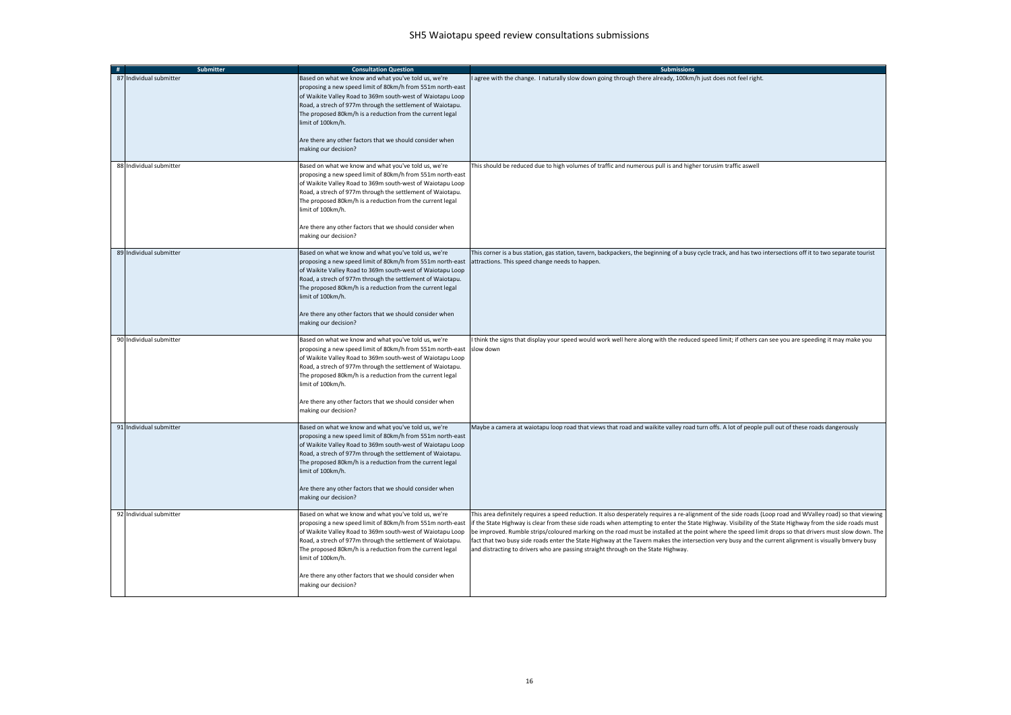| # | Submitter               | <b>Consultation Question</b>                                                                                                                                                                                                                                                                                                                                                                                         | <b>Submissions</b>                                                                                                                                                                                                                                                                                                                                                                                                                                                                                                                                                                                                                                                                                                               |
|---|-------------------------|----------------------------------------------------------------------------------------------------------------------------------------------------------------------------------------------------------------------------------------------------------------------------------------------------------------------------------------------------------------------------------------------------------------------|----------------------------------------------------------------------------------------------------------------------------------------------------------------------------------------------------------------------------------------------------------------------------------------------------------------------------------------------------------------------------------------------------------------------------------------------------------------------------------------------------------------------------------------------------------------------------------------------------------------------------------------------------------------------------------------------------------------------------------|
|   | 87 Individual submitter | Based on what we know and what you've told us, we're<br>proposing a new speed limit of 80km/h from 551m north-east<br>of Waikite Valley Road to 369m south-west of Waiotapu Loop<br>Road, a strech of 977m through the settlement of Waiotapu.<br>The proposed 80km/h is a reduction from the current legal<br>imit of 100km/h.<br>Are there any other factors that we should consider when<br>making our decision?  | I agree with the change. I naturally slow down going through there already, 100km/h just does not feel right.                                                                                                                                                                                                                                                                                                                                                                                                                                                                                                                                                                                                                    |
|   | 88 Individual submitter | Based on what we know and what you've told us, we're<br>proposing a new speed limit of 80km/h from 551m north-east<br>of Waikite Valley Road to 369m south-west of Waiotapu Loop<br>Road, a strech of 977m through the settlement of Waiotapu.<br>The proposed 80km/h is a reduction from the current legal<br>imit of 100km/h.<br>Are there any other factors that we should consider when<br>making our decision?  | This should be reduced due to high volumes of traffic and numerous pull is and higher torusim traffic aswell                                                                                                                                                                                                                                                                                                                                                                                                                                                                                                                                                                                                                     |
|   | 89 Individual submitter | Based on what we know and what you've told us, we're<br>proposing a new speed limit of 80km/h from 551m north-east<br>of Waikite Valley Road to 369m south-west of Waiotapu Loop<br>Road, a strech of 977m through the settlement of Waiotapu.<br>The proposed 80km/h is a reduction from the current legal<br>limit of 100km/h.<br>Are there any other factors that we should consider when<br>making our decision? | This corner is a bus station, gas station, tavern, backpackers, the beginning of a busy cycle track, and has two intersections off it to two separate tourist<br>attractions. This speed change needs to happen.                                                                                                                                                                                                                                                                                                                                                                                                                                                                                                                 |
|   | 90 Individual submitter | Based on what we know and what you've told us, we're<br>proposing a new speed limit of 80km/h from 551m north-east<br>of Waikite Valley Road to 369m south-west of Waiotapu Loop<br>Road, a strech of 977m through the settlement of Waiotapu.<br>The proposed 80km/h is a reduction from the current legal<br>imit of 100km/h.<br>Are there any other factors that we should consider when<br>making our decision?  | I think the signs that display your speed would work well here along with the reduced speed limit; if others can see you are speeding it may make you<br>slow down                                                                                                                                                                                                                                                                                                                                                                                                                                                                                                                                                               |
|   | 91 Individual submitter | Based on what we know and what you've told us, we're<br>proposing a new speed limit of 80km/h from 551m north-east<br>of Waikite Valley Road to 369m south-west of Waiotapu Loop<br>Road, a strech of 977m through the settlement of Waiotapu.<br>The proposed 80km/h is a reduction from the current legal<br>imit of 100km/h.<br>Are there any other factors that we should consider when<br>making our decision?  | Maybe a camera at waiotapu loop road that views that road and waikite valley road turn offs. A lot of people pull out of these roads dangerously                                                                                                                                                                                                                                                                                                                                                                                                                                                                                                                                                                                 |
|   | 92 Individual submitter | Based on what we know and what you've told us, we're<br>proposing a new speed limit of 80km/h from 551m north-east<br>of Waikite Valley Road to 369m south-west of Waiotapu Loop<br>Road, a strech of 977m through the settlement of Waiotapu.<br>The proposed 80km/h is a reduction from the current legal<br>imit of 100km/h.<br>Are there any other factors that we should consider when<br>making our decision?  | This area definitely requires a speed reduction. It also desperately requires a re-alignment of the side roads (Loop road and WValley road) so that viewing<br>if the State Highway is clear from these side roads when attempting to enter the State Highway. Visibility of the State Highway from the side roads must<br>be improved. Rumble strips/coloured marking on the road must be installed at the point where the speed limit drops so that drivers must slow down. The<br>fact that two busy side roads enter the State Highway at the Tavern makes the intersection very busy and the current alignment is visually bmvery busy<br>and distracting to drivers who are passing straight through on the State Highway. |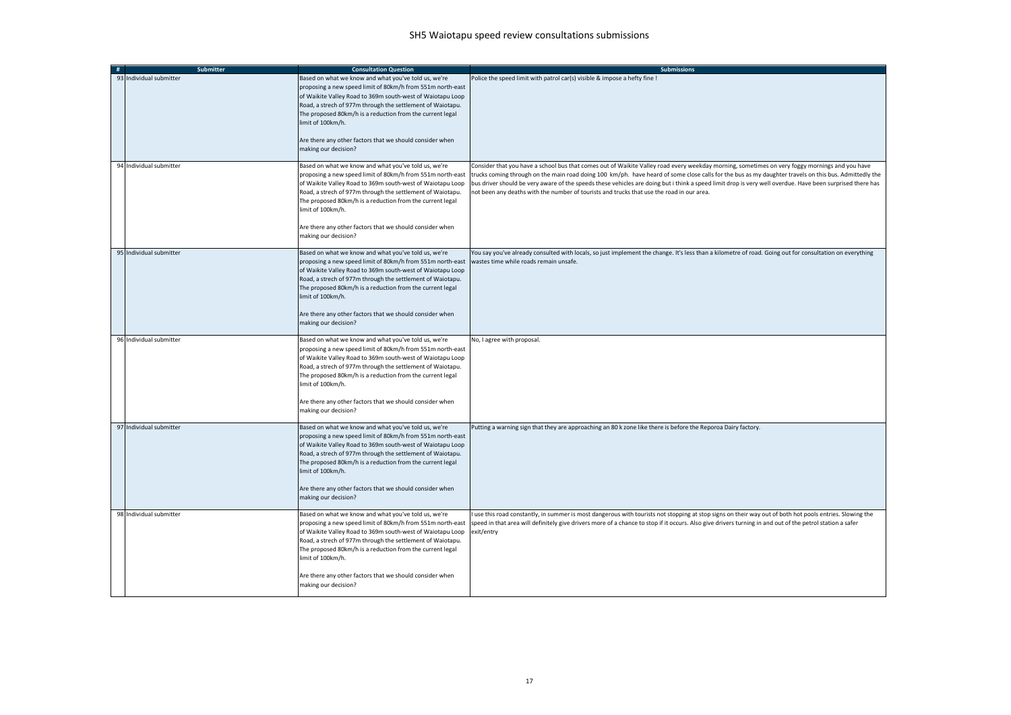| Submitter               | <b>Consultation Question</b>                                                                                                                                                                                                                                                                                                                                                                                        | <b>Submissions</b>                                                                                                                                                                                                                                                                                                                                                                                                                                                                                                                                                |
|-------------------------|---------------------------------------------------------------------------------------------------------------------------------------------------------------------------------------------------------------------------------------------------------------------------------------------------------------------------------------------------------------------------------------------------------------------|-------------------------------------------------------------------------------------------------------------------------------------------------------------------------------------------------------------------------------------------------------------------------------------------------------------------------------------------------------------------------------------------------------------------------------------------------------------------------------------------------------------------------------------------------------------------|
| 93 Individual submitter | Based on what we know and what you've told us, we're<br>proposing a new speed limit of 80km/h from 551m north-east<br>of Waikite Valley Road to 369m south-west of Waiotapu Loop<br>Road, a strech of 977m through the settlement of Waiotapu.<br>The proposed 80km/h is a reduction from the current legal<br>imit of 100km/h.<br>Are there any other factors that we should consider when<br>making our decision? | Police the speed limit with patrol car(s) visible & impose a hefty fine !                                                                                                                                                                                                                                                                                                                                                                                                                                                                                         |
| 94 Individual submitter | Based on what we know and what you've told us, we're<br>proposing a new speed limit of 80km/h from 551m north-east<br>of Waikite Valley Road to 369m south-west of Waiotapu Loop<br>Road, a strech of 977m through the settlement of Waiotapu.<br>The proposed 80km/h is a reduction from the current legal<br>imit of 100km/h.<br>Are there any other factors that we should consider when<br>making our decision? | Consider that you have a school bus that comes out of Waikite Valley road every weekday morning, sometimes on very foggy mornings and you have<br>trucks coming through on the main road doing 100 km/ph. have heard of some close calls for the bus as my daughter travels on this bus. Admittedly the<br>bus driver should be very aware of the speeds these vehicles are doing but i think a speed limit drop is very well overdue. Have been surprised there has<br>not been any deaths with the number of tourists and trucks that use the road in our area. |
| 95 Individual submitter | Based on what we know and what you've told us, we're<br>proposing a new speed limit of 80km/h from 551m north-east<br>of Waikite Valley Road to 369m south-west of Waiotapu Loop<br>Road, a strech of 977m through the settlement of Waiotapu.<br>The proposed 80km/h is a reduction from the current legal<br>imit of 100km/h.<br>Are there any other factors that we should consider when<br>making our decision? | You say you've already consulted with locals, so just implement the change. It's less than a kilometre of road. Going out for consultation on everything<br>wastes time while roads remain unsafe.                                                                                                                                                                                                                                                                                                                                                                |
| 96 Individual submitter | Based on what we know and what you've told us, we're<br>proposing a new speed limit of 80km/h from 551m north-east<br>of Waikite Valley Road to 369m south-west of Waiotapu Loop<br>Road, a strech of 977m through the settlement of Waiotapu.<br>The proposed 80km/h is a reduction from the current legal<br>imit of 100km/h.<br>Are there any other factors that we should consider when<br>making our decision? | No, I agree with proposal.                                                                                                                                                                                                                                                                                                                                                                                                                                                                                                                                        |
| 97 Individual submitter | Based on what we know and what you've told us, we're<br>proposing a new speed limit of 80km/h from 551m north-east<br>of Waikite Valley Road to 369m south-west of Waiotapu Loop<br>Road, a strech of 977m through the settlement of Waiotapu.<br>The proposed 80km/h is a reduction from the current legal<br>imit of 100km/h.<br>Are there any other factors that we should consider when<br>making our decision? | Putting a warning sign that they are approaching an 80 k zone like there is before the Reporoa Dairy factory.                                                                                                                                                                                                                                                                                                                                                                                                                                                     |
| 98 Individual submitter | Based on what we know and what you've told us, we're<br>proposing a new speed limit of 80km/h from 551m north-east<br>of Waikite Valley Road to 369m south-west of Waiotapu Loop<br>Road, a strech of 977m through the settlement of Waiotapu.<br>The proposed 80km/h is a reduction from the current legal<br>imit of 100km/h.<br>Are there any other factors that we should consider when<br>making our decision? | use this road constantly, in summer is most dangerous with tourists not stopping at stop signs on their way out of both hot pools entries. Slowing the<br>speed in that area will definitely give drivers more of a chance to stop if it occurs. Also give drivers turning in and out of the petrol station a safer<br>exit/entry                                                                                                                                                                                                                                 |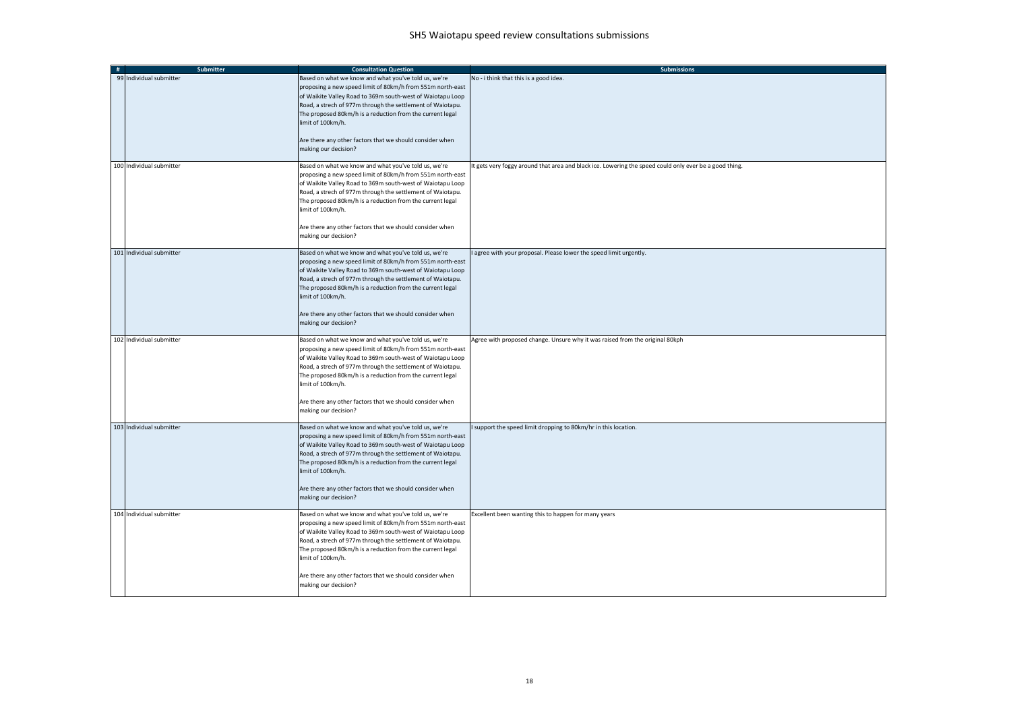| # | <b>Submitter</b>         | <b>Consultation Question</b>                                                                                                                                                                                                                                                                                                                                                                                         | <b>Submissions</b>                                                                                    |
|---|--------------------------|----------------------------------------------------------------------------------------------------------------------------------------------------------------------------------------------------------------------------------------------------------------------------------------------------------------------------------------------------------------------------------------------------------------------|-------------------------------------------------------------------------------------------------------|
|   | 99 Individual submitter  | Based on what we know and what you've told us, we're<br>proposing a new speed limit of 80km/h from 551m north-east<br>of Waikite Valley Road to 369m south-west of Waiotapu Loop<br>Road, a strech of 977m through the settlement of Waiotapu.<br>The proposed 80km/h is a reduction from the current legal<br>limit of 100km/h.<br>Are there any other factors that we should consider when<br>making our decision? | No - i think that this is a good idea.                                                                |
|   | 100 Individual submitter | Based on what we know and what you've told us, we're<br>proposing a new speed limit of 80km/h from 551m north-east<br>of Waikite Valley Road to 369m south-west of Waiotapu Loop<br>Road, a strech of 977m through the settlement of Waiotapu.<br>The proposed 80km/h is a reduction from the current legal<br>limit of 100km/h.<br>Are there any other factors that we should consider when<br>making our decision? | t gets very foggy around that area and black ice. Lowering the speed could only ever be a good thing. |
|   | 101 Individual submitter | Based on what we know and what you've told us, we're<br>proposing a new speed limit of 80km/h from 551m north-east<br>of Waikite Valley Road to 369m south-west of Waiotapu Loop<br>Road, a strech of 977m through the settlement of Waiotapu.<br>The proposed 80km/h is a reduction from the current legal<br>limit of 100km/h.<br>Are there any other factors that we should consider when<br>making our decision? | agree with your proposal. Please lower the speed limit urgently.                                      |
|   | 102 Individual submitter | Based on what we know and what you've told us, we're<br>proposing a new speed limit of 80km/h from 551m north-east<br>of Waikite Valley Road to 369m south-west of Waiotapu Loop<br>Road, a strech of 977m through the settlement of Waiotapu.<br>The proposed 80km/h is a reduction from the current legal<br>limit of 100km/h.<br>Are there any other factors that we should consider when<br>making our decision? | Agree with proposed change. Unsure why it was raised from the original 80kph                          |
|   | 103 Individual submitter | Based on what we know and what you've told us, we're<br>proposing a new speed limit of 80km/h from 551m north-east<br>of Waikite Valley Road to 369m south-west of Waiotapu Loop<br>Road, a strech of 977m through the settlement of Waiotapu.<br>The proposed 80km/h is a reduction from the current legal<br>limit of 100km/h.<br>Are there any other factors that we should consider when<br>making our decision? | support the speed limit dropping to 80km/hr in this location.                                         |
|   | 104 Individual submitter | Based on what we know and what you've told us, we're<br>proposing a new speed limit of 80km/h from 551m north-east<br>of Waikite Valley Road to 369m south-west of Waiotapu Loop<br>Road, a strech of 977m through the settlement of Waiotapu.<br>The proposed 80km/h is a reduction from the current legal<br>limit of 100km/h.<br>Are there any other factors that we should consider when<br>making our decision? | Excellent been wanting this to happen for many years                                                  |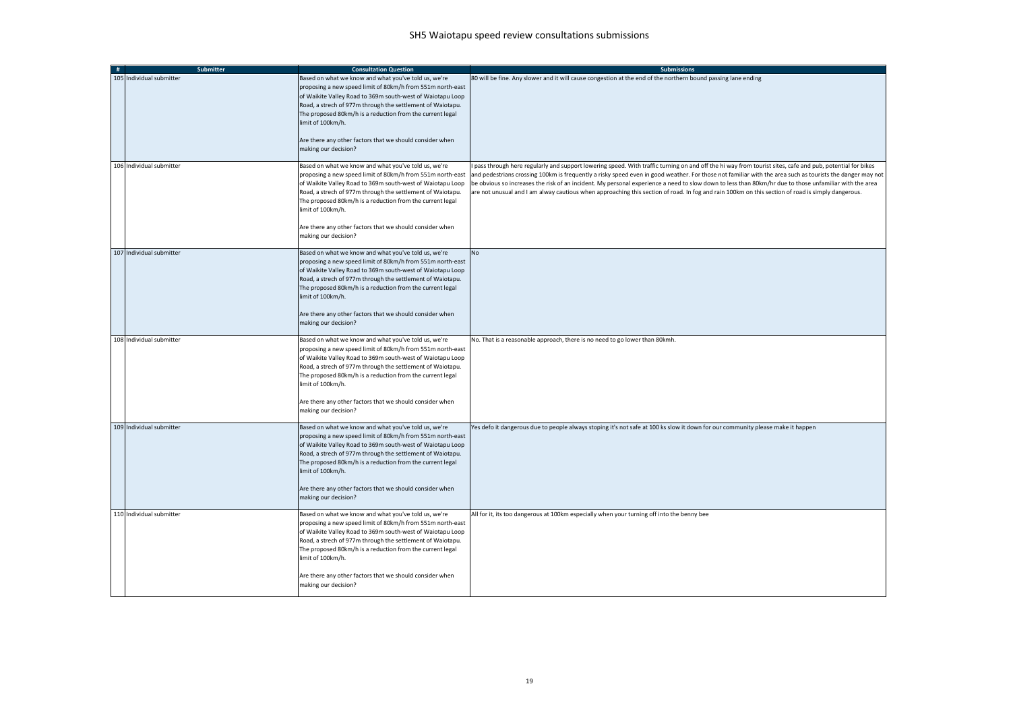| # | Submitter                | <b>Consultation Question</b>                                                                                                                                                                                                                                                                                                                                                                                         | <b>Submissions</b>                                                                                                                                                                                                                                                                                                                                                                                                                                                                                                                                                                                                                   |
|---|--------------------------|----------------------------------------------------------------------------------------------------------------------------------------------------------------------------------------------------------------------------------------------------------------------------------------------------------------------------------------------------------------------------------------------------------------------|--------------------------------------------------------------------------------------------------------------------------------------------------------------------------------------------------------------------------------------------------------------------------------------------------------------------------------------------------------------------------------------------------------------------------------------------------------------------------------------------------------------------------------------------------------------------------------------------------------------------------------------|
|   | 105 Individual submitter | Based on what we know and what you've told us, we're<br>proposing a new speed limit of 80km/h from 551m north-east<br>of Waikite Valley Road to 369m south-west of Waiotapu Loop<br>Road, a strech of 977m through the settlement of Waiotapu.<br>The proposed 80km/h is a reduction from the current legal<br>limit of 100km/h.<br>Are there any other factors that we should consider when<br>making our decision? | 80 will be fine. Any slower and it will cause congestion at the end of the northern bound passing lane ending                                                                                                                                                                                                                                                                                                                                                                                                                                                                                                                        |
|   | 106 Individual submitter | Based on what we know and what you've told us, we're<br>proposing a new speed limit of 80km/h from 551m north-east<br>of Waikite Valley Road to 369m south-west of Waiotapu Loop<br>Road, a strech of 977m through the settlement of Waiotapu.<br>The proposed 80km/h is a reduction from the current legal<br>limit of 100km/h.<br>Are there any other factors that we should consider when<br>making our decision? | pass through here regularly and support lowering speed. With traffic turning on and off the hi way from tourist sites, cafe and pub, potential for bikes<br>and pedestrians crossing 100km is frequently a risky speed even in good weather. For those not familiar with the area such as tourists the danger may not<br>be obvious so increases the risk of an incident. My personal experience a need to slow down to less than 80km/hr due to those unfamiliar with the area<br>are not unusual and I am alway cautious when approaching this section of road. In fog and rain 100km on this section of road is simply dangerous. |
|   | 107 Individual submitter | Based on what we know and what you've told us, we're<br>proposing a new speed limit of 80km/h from 551m north-east<br>of Waikite Valley Road to 369m south-west of Waiotapu Loop<br>Road, a strech of 977m through the settlement of Waiotapu.<br>The proposed 80km/h is a reduction from the current legal<br>limit of 100km/h.<br>Are there any other factors that we should consider when<br>making our decision? | <b>No</b>                                                                                                                                                                                                                                                                                                                                                                                                                                                                                                                                                                                                                            |
|   | 108 Individual submitter | Based on what we know and what you've told us, we're<br>proposing a new speed limit of 80km/h from 551m north-east<br>of Waikite Valley Road to 369m south-west of Waiotapu Loop<br>Road, a strech of 977m through the settlement of Waiotapu.<br>The proposed 80km/h is a reduction from the current legal<br>limit of 100km/h.<br>Are there any other factors that we should consider when<br>making our decision? | No. That is a reasonable approach, there is no need to go lower than 80kmh.                                                                                                                                                                                                                                                                                                                                                                                                                                                                                                                                                          |
|   | 109 Individual submitter | Based on what we know and what you've told us, we're<br>proposing a new speed limit of 80km/h from 551m north-east<br>of Waikite Valley Road to 369m south-west of Waiotapu Loop<br>Road, a strech of 977m through the settlement of Waiotapu.<br>The proposed 80km/h is a reduction from the current legal<br>limit of 100km/h.<br>Are there any other factors that we should consider when<br>making our decision? | Yes defo it dangerous due to people always stoping it's not safe at 100 ks slow it down for our community please make it happen                                                                                                                                                                                                                                                                                                                                                                                                                                                                                                      |
|   | 110 Individual submitter | Based on what we know and what you've told us, we're<br>proposing a new speed limit of 80km/h from 551m north-east<br>of Waikite Valley Road to 369m south-west of Waiotapu Loop<br>Road, a strech of 977m through the settlement of Waiotapu.<br>The proposed 80km/h is a reduction from the current legal<br>limit of 100km/h.<br>Are there any other factors that we should consider when<br>making our decision? | All for it, its too dangerous at 100km especially when your turning off into the benny bee                                                                                                                                                                                                                                                                                                                                                                                                                                                                                                                                           |